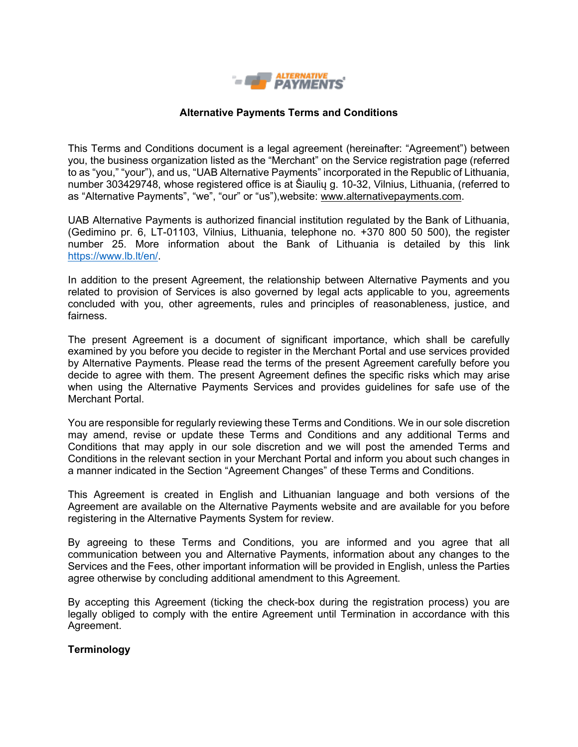

### **Alternative Payments Terms and Conditions**

This Terms and Conditions document is a legal agreement (hereinafter: "Agreement") between you, the business organization listed as the "Merchant" on the Service registration page (referred to as "you," "your"), and us, "UAB Alternative Payments" incorporated in the Republic of Lithuania, number 303429748, whose registered office is at Ŝiaulių g. 10-32, Vilnius, Lithuania, (referred to as "Alternative Payments", "we", "our" or "us"),website: [www.alternativepayments.com.](http://www.alternativepayments.com/)

UAB Alternative Payments is authorized financial institution regulated by the Bank of Lithuania, (Gedimino pr. 6, LT-01103, Vilnius, Lithuania, telephone no. +370 800 50 500), the register number 25. More information about the Bank of Lithuania is detailed by this link [https://www.lb.lt/en/.](https://www.lb.lt/en/)

In addition to the present Agreement, the relationship between Alternative Payments and you related to provision of Services is also governed by legal acts applicable to you, agreements concluded with you, other agreements, rules and principles of reasonableness, justice, and fairness.

The present Agreement is a document of significant importance, which shall be carefully examined by you before you decide to register in the Merchant Portal and use services provided by Alternative Payments. Please read the terms of the present Agreement carefully before you decide to agree with them. The present Agreement defines the specific risks which may arise when using the Alternative Payments Services and provides guidelines for safe use of the Merchant Portal.

You are responsible for regularly reviewing these Terms and Conditions. We in our sole discretion may amend, revise or update these Terms and Conditions and any additional Terms and Conditions that may apply in our sole discretion and we will post the amended Terms and Conditions in the relevant section in your Merchant Portal and inform you about such changes in a manner indicated in the Section "Agreement Changes" of these Terms and Conditions.

This Agreement is created in English and Lithuanian language and both versions of the Agreement are available on the Alternative Payments website and are available for you before registering in the Alternative Payments System for review.

By agreeing to these Terms and Conditions, you are informed and you agree that all communication between you and Alternative Payments, information about any changes to the Services and the Fees, other important information will be provided in English, unless the Parties agree otherwise by concluding additional amendment to this Agreement.

By accepting this Agreement (ticking the check-box during the registration process) you are legally obliged to comply with the entire Agreement until Termination in accordance with this Agreement.

#### **Terminology**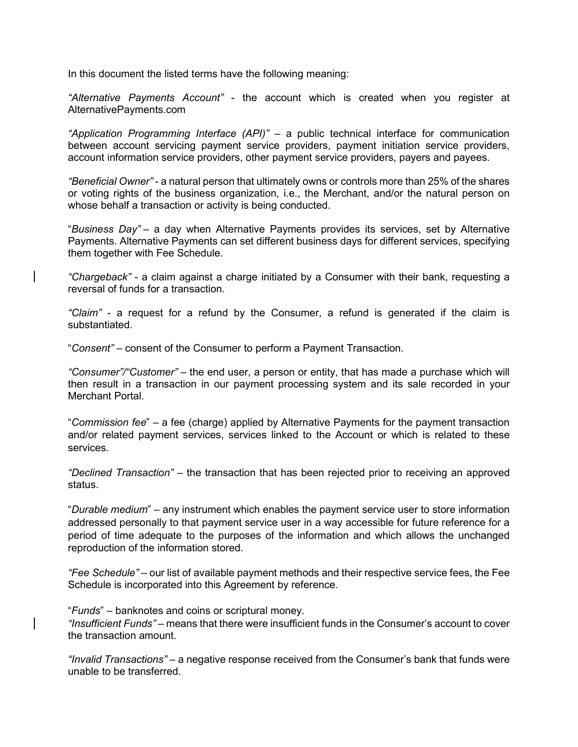In this document the listed terms have the following meaning:

*"Alternative Payments Account"* - the account which is created when you register at AlternativePayments.com

*"Application Programming Interface (API)"* – a public technical interface for communication between account servicing payment service providers, payment initiation service providers, account information service providers, other payment service providers, payers and payees.

*"Beneficial Owner"* - a natural person that ultimately owns or controls more than 25% of the shares or voting rights of the business organization, i.e., the Merchant, and/or the natural person on whose behalf a transaction or activity is being conducted.

"*Business Day"* – a day when Alternative Payments provides its services, set by Alternative Payments. Alternative Payments can set different business days for different services, specifying them together with Fee Schedule.

*"Chargeback"* - a claim against a charge initiated by a Consumer with their bank, requesting a reversal of funds for a transaction.

*"Claim"* - a request for a refund by the Consumer, a refund is generated if the claim is substantiated.

"*Consent"* – consent of the Consumer to perform a Payment Transaction.

*"Consumer"/"Customer"* – the end user, a person or entity, that has made a purchase which will then result in a transaction in our payment processing system and its sale recorded in your Merchant Portal.

"*Commission fee*" – a fee (charge) applied by Alternative Payments for the payment transaction and/or related payment services, services linked to the Account or which is related to these services.

*"Declined Transaction"* – the transaction that has been rejected prior to receiving an approved status.

"*Durable medium*" – any instrument which enables the payment service user to store information addressed personally to that payment service user in a way accessible for future reference for a period of time adequate to the purposes of the information and which allows the unchanged reproduction of the information stored.

*"Fee Schedule"* – our list of available payment methods and their respective service fees, the Fee Schedule is incorporated into this Agreement by reference.

"*Funds*" – banknotes and coins or scriptural money.

*"Insufficient Funds"* – means that there were insufficient funds in the Consumer's account to cover the transaction amount.

*"Invalid Transactions"* – a negative response received from the Consumer's bank that funds were unable to be transferred.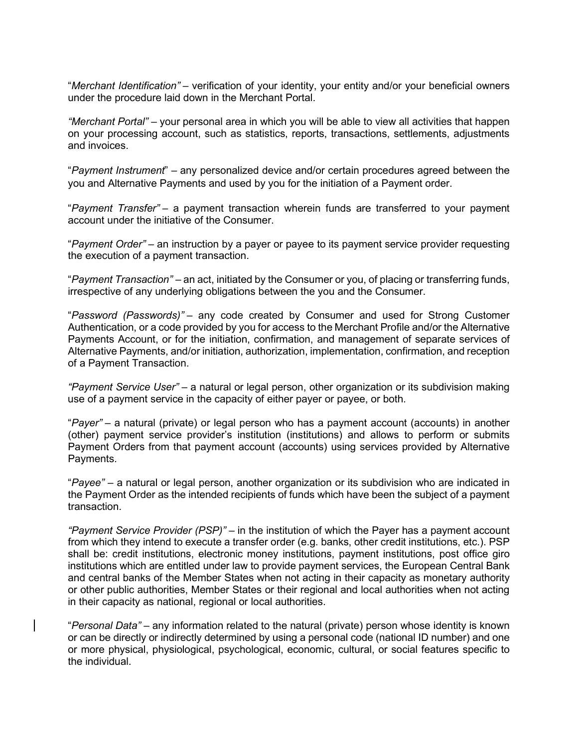"*Merchant Identification"* – verification of your identity, your entity and/or your beneficial owners under the procedure laid down in the Merchant Portal.

*"Merchant Portal"* – your personal area in which you will be able to view all activities that happen on your processing account, such as statistics, reports, transactions, settlements, adjustments and invoices.

"*Payment Instrument*" – any personalized device and/or certain procedures agreed between the you and Alternative Payments and used by you for the initiation of a Payment order.

"*Payment Transfer"* – a payment transaction wherein funds are transferred to your payment account under the initiative of the Consumer.

"*Payment Order"* – an instruction by a payer or payee to its payment service provider requesting the execution of a payment transaction.

"*Payment Transaction"* – an act, initiated by the Consumer or you, of placing or transferring funds, irrespective of any underlying obligations between the you and the Consumer.

"*Password (Passwords)"* – any code created by Consumer and used for Strong Customer Authentication, or a code provided by you for access to the Merchant Profile and/or the Alternative Payments Account, or for the initiation, confirmation, and management of separate services of Alternative Payments, and/or initiation, authorization, implementation, confirmation, and reception of a Payment Transaction.

*"Payment Service User"* – a natural or legal person, other organization or its subdivision making use of a payment service in the capacity of either payer or payee, or both.

"*Payer"* – a natural (private) or legal person who has a payment account (accounts) in another (other) payment service provider's institution (institutions) and allows to perform or submits Payment Orders from that payment account (accounts) using services provided by Alternative Payments.

"*Payee"* – a natural or legal person, another organization or its subdivision who are indicated in the Payment Order as the intended recipients of funds which have been the subject of a payment transaction.

*"Payment Service Provider (PSP)"* – in the institution of which the Payer has a payment account from which they intend to execute a transfer order (e.g. banks, other credit institutions, etc.). PSP shall be: credit institutions, electronic money institutions, payment institutions, post office giro institutions which are entitled under law to provide payment services, the European Central Bank and central banks of the Member States when not acting in their capacity as monetary authority or other public authorities, Member States or their regional and local authorities when not acting in their capacity as national, regional or local authorities.

"*Personal Data"* – any information related to the natural (private) person whose identity is known or can be directly or indirectly determined by using a personal code (national ID number) and one or more physical, physiological, psychological, economic, cultural, or social features specific to the individual.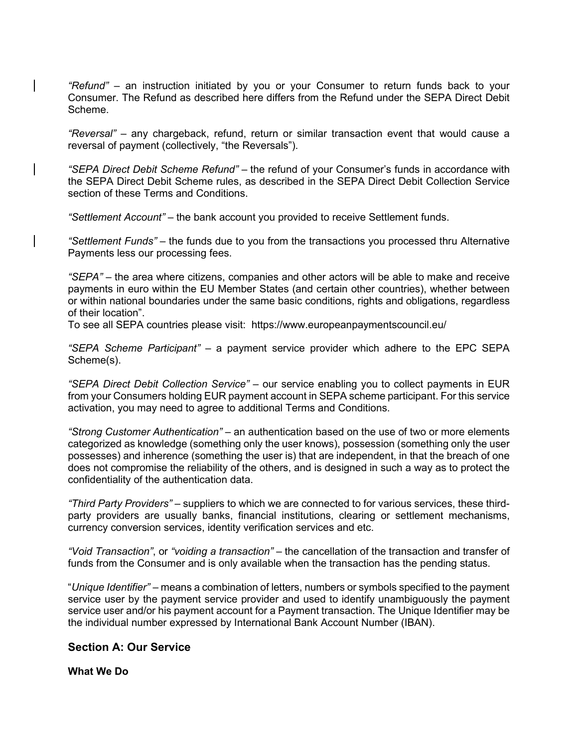*"Refund"* – an instruction initiated by you or your Consumer to return funds back to your Consumer. The Refund as described here differs from the Refund under the SEPA Direct Debit Scheme.

*"Reversal"* – any chargeback, refund, return or similar transaction event that would cause a reversal of payment (collectively, "the Reversals").

*"SEPA Direct Debit Scheme Refund"* – the refund of your Consumer's funds in accordance with the SEPA Direct Debit Scheme rules, as described in the SEPA Direct Debit Collection Service section of these Terms and Conditions.

*"Settlement Account"* – the bank account you provided to receive Settlement funds.

*"Settlement Funds"* – the funds due to you from the transactions you processed thru Alternative Payments less our processing fees.

*"SEPA"* – the area where citizens, companies and other actors will be able to make and receive payments in euro within the EU Member States (and certain other countries), whether between or within national boundaries under the same basic conditions, rights and obligations, regardless of their location".

To see all SEPA countries please visit: <https://www.europeanpaymentscouncil.eu/>

*"SEPA Scheme Participant"* – a payment service provider which adhere to the EPC SEPA Scheme(s).

*"SEPA Direct Debit Collection Service"* – our service enabling you to collect payments in EUR from your Consumers holding EUR payment account in SEPA scheme participant. For this service activation, you may need to agree to additional Terms and Conditions.

*"Strong Customer Authentication"* – an authentication based on the use of two or more elements categorized as knowledge (something only the user knows), possession (something only the user possesses) and inherence (something the user is) that are independent, in that the breach of one does not compromise the reliability of the others, and is designed in such a way as to protect the confidentiality of the authentication data.

*"Third Party Providers"* – suppliers to which we are connected to for various services, these thirdparty providers are usually banks, financial institutions, clearing or settlement mechanisms, currency conversion services, identity verification services and etc.

*"Void Transaction"*, or *"voiding a transaction"* – the cancellation of the transaction and transfer of funds from the Consumer and is only available when the transaction has the pending status.

"*Unique Identifier"* – means a combination of letters, numbers or symbols specified to the payment service user by the payment service provider and used to identify unambiguously the payment service user and/or his payment account for a Payment transaction. The Unique Identifier may be the individual number expressed by International Bank Account Number (IBAN).

# **Section A: Our Service**

#### **What We Do**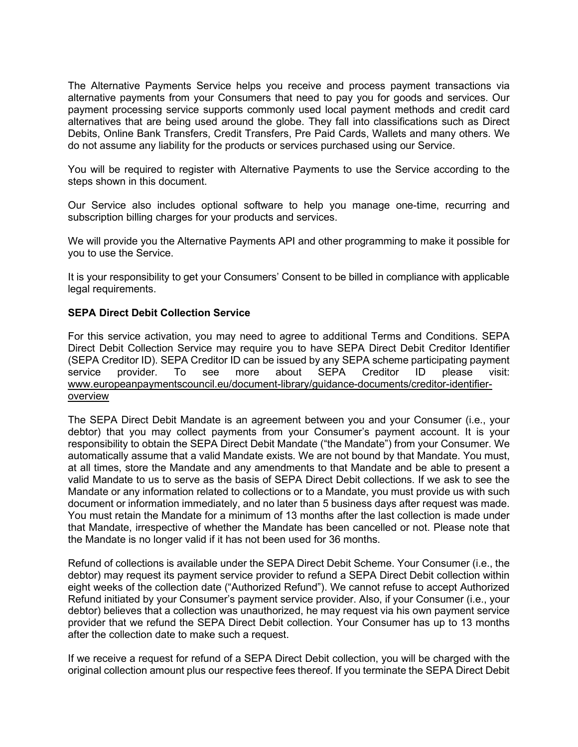The Alternative Payments Service helps you receive and process payment transactions via alternative payments from your Consumers that need to pay you for goods and services. Our payment processing service supports commonly used local payment methods and credit card alternatives that are being used around the globe. They fall into classifications such as Direct Debits, Online Bank Transfers, Credit Transfers, Pre Paid Cards, Wallets and many others. We do not assume any liability for the products or services purchased using our Service.

You will be required to register with Alternative Payments to use the Service according to the steps shown in this document.

Our Service also includes optional software to help you manage one-time, recurring and subscription billing charges for your products and services.

We will provide you the Alternative Payments API and other programming to make it possible for you to use the Service.

It is your responsibility to get your Consumers' Consent to be billed in compliance with applicable legal requirements.

#### **SEPA Direct Debit Collection Service**

For this service activation, you may need to agree to additional Terms and Conditions. SEPA Direct Debit Collection Service may require you to have SEPA Direct Debit Creditor Identifier (SEPA Creditor ID). SEPA Creditor ID can be issued by any SEPA scheme participating payment service provider. To see more about SEPA Creditor ID please visit: [www.europeanpaymentscouncil.eu/document-library/guidance-documents/creditor-identifier](http://www.europeanpaymentscouncil.eu/document-library/guidance-documents/creditor-identifier-overview)[overview](http://www.europeanpaymentscouncil.eu/document-library/guidance-documents/creditor-identifier-overview)

The SEPA Direct Debit Mandate is an agreement between you and your Consumer (i.e., your debtor) that you may collect payments from your Consumer's payment account. It is your responsibility to obtain the SEPA Direct Debit Mandate ("the Mandate") from your Consumer. We automatically assume that a valid Mandate exists. We are not bound by that Mandate. You must, at all times, store the Mandate and any amendments to that Mandate and be able to present a valid Mandate to us to serve as the basis of SEPA Direct Debit collections. If we ask to see the Mandate or any information related to collections or to a Mandate, you must provide us with such document or information immediately, and no later than 5 business days after request was made. You must retain the Mandate for a minimum of 13 months after the last collection is made under that Mandate, irrespective of whether the Mandate has been cancelled or not. Please note that the Mandate is no longer valid if it has not been used for 36 months.

Refund of collections is available under the SEPA Direct Debit Scheme. Your Consumer (i.e., the debtor) may request its payment service provider to refund a SEPA Direct Debit collection within eight weeks of the collection date ("Authorized Refund"). We cannot refuse to accept Authorized Refund initiated by your Consumer's payment service provider. Also, if your Consumer (i.e., your debtor) believes that a collection was unauthorized, he may request via his own payment service provider that we refund the SEPA Direct Debit collection. Your Consumer has up to 13 months after the collection date to make such a request.

If we receive a request for refund of a SEPA Direct Debit collection, you will be charged with the original collection amount plus our respective fees thereof. If you terminate the SEPA Direct Debit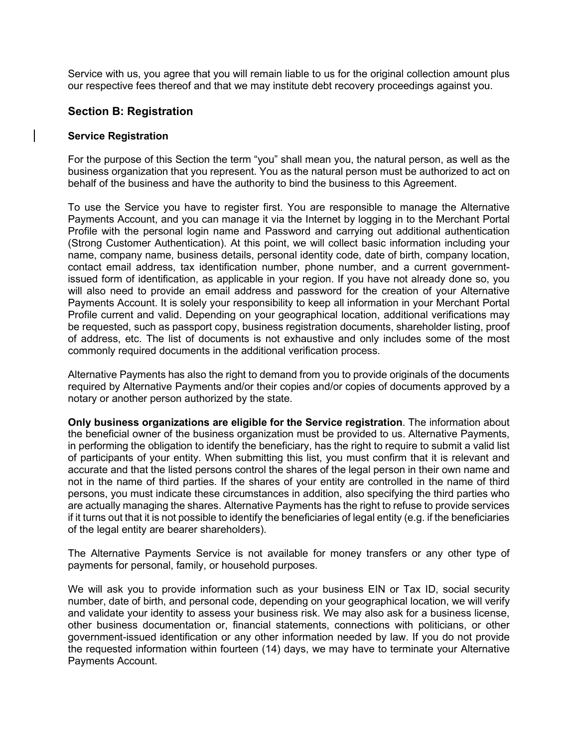Service with us, you agree that you will remain liable to us for the original collection amount plus our respective fees thereof and that we may institute debt recovery proceedings against you.

# **Section B: Registration**

#### **Service Registration**

For the purpose of this Section the term "you" shall mean you, the natural person, as well as the business organization that you represent. You as the natural person must be authorized to act on behalf of the business and have the authority to bind the business to this Agreement.

To use the Service you have to register first. You are responsible to manage the Alternative Payments Account, and you can manage it via the Internet by logging in to the Merchant Portal Profile with the personal login name and Password and carrying out additional authentication (Strong Customer Authentication). At this point, we will collect basic information including your name, company name, business details, personal identity code, date of birth, company location, contact email address, tax identification number, phone number, and a current governmentissued form of identification, as applicable in your region. If you have not already done so, you will also need to provide an email address and password for the creation of your Alternative Payments Account. It is solely your responsibility to keep all information in your Merchant Portal Profile current and valid. Depending on your geographical location, additional verifications may be requested, such as passport copy, business registration documents, shareholder listing, proof of address, etc. The list of documents is not exhaustive and only includes some of the most commonly required documents in the additional verification process.

Alternative Payments has also the right to demand from you to provide originals of the documents required by Alternative Payments and/or their copies and/or copies of documents approved by a notary or another person authorized by the state.

**Only business organizations are eligible for the Service registration**. The information about the beneficial owner of the business organization must be provided to us. Alternative Payments, in performing the obligation to identify the beneficiary, has the right to require to submit a valid list of participants of your entity. When submitting this list, you must confirm that it is relevant and accurate and that the listed persons control the shares of the legal person in their own name and not in the name of third parties. If the shares of your entity are controlled in the name of third persons, you must indicate these circumstances in addition, also specifying the third parties who are actually managing the shares. Alternative Payments has the right to refuse to provide services if it turns out that it is not possible to identify the beneficiaries of legal entity (e.g. if the beneficiaries of the legal entity are bearer shareholders).

The Alternative Payments Service is not available for money transfers or any other type of payments for personal, family, or household purposes.

We will ask you to provide information such as your business EIN or Tax ID, social security number, date of birth, and personal code, depending on your geographical location, we will verify and validate your identity to assess your business risk. We may also ask for a business license, other business documentation or, financial statements, connections with politicians, or other government-issued identification or any other information needed by law. If you do not provide the requested information within fourteen (14) days, we may have to terminate your Alternative Payments Account.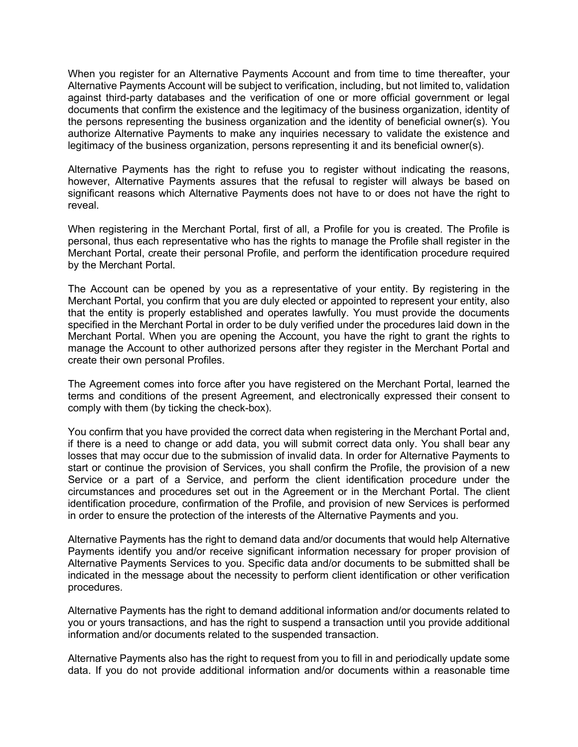When you register for an Alternative Payments Account and from time to time thereafter, your Alternative Payments Account will be subject to verification, including, but not limited to, validation against third-party databases and the verification of one or more official government or legal documents that confirm the existence and the legitimacy of the business organization, identity of the persons representing the business organization and the identity of beneficial owner(s). You authorize Alternative Payments to make any inquiries necessary to validate the existence and legitimacy of the business organization, persons representing it and its beneficial owner(s).

Alternative Payments has the right to refuse you to register without indicating the reasons, however, Alternative Payments assures that the refusal to register will always be based on significant reasons which Alternative Payments does not have to or does not have the right to reveal.

When registering in the Merchant Portal, first of all, a Profile for you is created. The Profile is personal, thus each representative who has the rights to manage the Profile shall register in the Merchant Portal, create their personal Profile, and perform the identification procedure required by the Merchant Portal.

The Account can be opened by you as a representative of your entity. By registering in the Merchant Portal, you confirm that you are duly elected or appointed to represent your entity, also that the entity is properly established and operates lawfully. You must provide the documents specified in the Merchant Portal in order to be duly verified under the procedures laid down in the Merchant Portal. When you are opening the Account, you have the right to grant the rights to manage the Account to other authorized persons after they register in the Merchant Portal and create their own personal Profiles.

The Agreement comes into force after you have registered on the Merchant Portal, learned the terms and conditions of the present Agreement, and electronically expressed their consent to comply with them (by ticking the check-box).

You confirm that you have provided the correct data when registering in the Merchant Portal and, if there is a need to change or add data, you will submit correct data only. You shall bear any losses that may occur due to the submission of invalid data. In order for Alternative Payments to start or continue the provision of Services, you shall confirm the Profile, the provision of a new Service or a part of a Service, and perform the client identification procedure under the circumstances and procedures set out in the Agreement or in the Merchant Portal. The client identification procedure, confirmation of the Profile, and provision of new Services is performed in order to ensure the protection of the interests of the Alternative Payments and you.

Alternative Payments has the right to demand data and/or documents that would help Alternative Payments identify you and/or receive significant information necessary for proper provision of Alternative Payments Services to you. Specific data and/or documents to be submitted shall be indicated in the message about the necessity to perform client identification or other verification procedures.

Alternative Payments has the right to demand additional information and/or documents related to you or yours transactions, and has the right to suspend a transaction until you provide additional information and/or documents related to the suspended transaction.

Alternative Payments also has the right to request from you to fill in and periodically update some data. If you do not provide additional information and/or documents within a reasonable time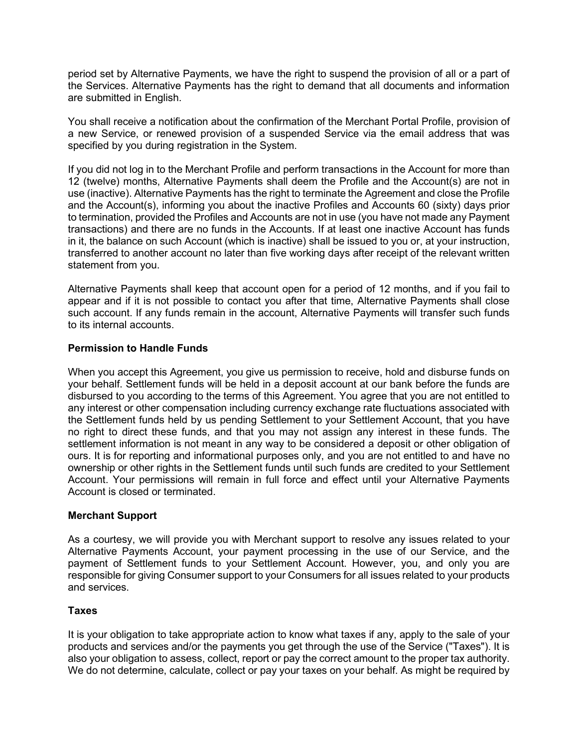period set by Alternative Payments, we have the right to suspend the provision of all or a part of the Services. Alternative Payments has the right to demand that all documents and information are submitted in English.

You shall receive a notification about the confirmation of the Merchant Portal Profile, provision of a new Service, or renewed provision of a suspended Service via the email address that was specified by you during registration in the System.

If you did not log in to the Merchant Profile and perform transactions in the Account for more than 12 (twelve) months, Alternative Payments shall deem the Profile and the Account(s) are not in use (inactive). Alternative Payments has the right to terminate the Agreement and close the Profile and the Account(s), informing you about the inactive Profiles and Accounts 60 (sixty) days prior to termination, provided the Profiles and Accounts are not in use (you have not made any Payment transactions) and there are no funds in the Accounts. If at least one inactive Account has funds in it, the balance on such Account (which is inactive) shall be issued to you or, at your instruction, transferred to another account no later than five working days after receipt of the relevant written statement from you.

Alternative Payments shall keep that account open for a period of 12 months, and if you fail to appear and if it is not possible to contact you after that time, Alternative Payments shall close such account. If any funds remain in the account, Alternative Payments will transfer such funds to its internal accounts.

# **Permission to Handle Funds**

When you accept this Agreement, you give us permission to receive, hold and disburse funds on your behalf. Settlement funds will be held in a deposit account at our bank before the funds are disbursed to you according to the terms of this Agreement. You agree that you are not entitled to any interest or other compensation including currency exchange rate fluctuations associated with the Settlement funds held by us pending Settlement to your Settlement Account, that you have no right to direct these funds, and that you may not assign any interest in these funds. The settlement information is not meant in any way to be considered a deposit or other obligation of ours. It is for reporting and informational purposes only, and you are not entitled to and have no ownership or other rights in the Settlement funds until such funds are credited to your Settlement Account. Your permissions will remain in full force and effect until your Alternative Payments Account is closed or terminated.

# **Merchant Support**

As a courtesy, we will provide you with Merchant support to resolve any issues related to your Alternative Payments Account, your payment processing in the use of our Service, and the payment of Settlement funds to your Settlement Account. However, you, and only you are responsible for giving Consumer support to your Consumers for all issues related to your products and services.

# **Taxes**

It is your obligation to take appropriate action to know what taxes if any, apply to the sale of your products and services and/or the payments you get through the use of the Service ("Taxes"). It is also your obligation to assess, collect, report or pay the correct amount to the proper tax authority. We do not determine, calculate, collect or pay your taxes on your behalf. As might be required by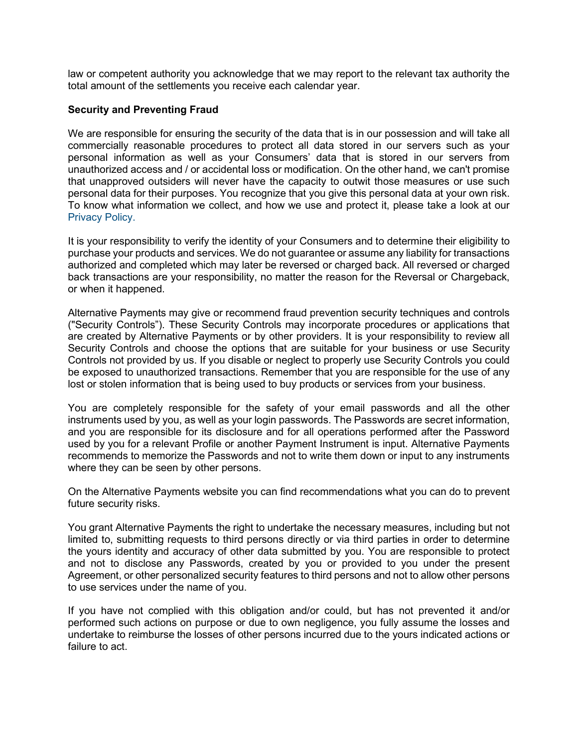law or competent authority you acknowledge that we may report to the relevant tax authority the total amount of the settlements you receive each calendar year.

### **Security and Preventing Fraud**

We are responsible for ensuring the security of the data that is in our possession and will take all commercially reasonable procedures to protect all data stored in our servers such as your personal information as well as your Consumers' data that is stored in our servers from unauthorized access and / or accidental loss or modification. On the other hand, we can't promise that unapproved outsiders will never have the capacity to outwit those measures or use such personal data for their purposes. You recognize that you give this personal data at your own risk. To know what information we collect, and how we use and protect it, please take a look at our [Privacy](https://alternativepayments.com/privacy-policy.html) Policy.

It is your responsibility to verify the identity of your Consumers and to determine their eligibility to purchase your products and services. We do not guarantee or assume any liability for transactions authorized and completed which may later be reversed or charged back. All reversed or charged back transactions are your responsibility, no matter the reason for the Reversal or Chargeback, or when it happened.

Alternative Payments may give or recommend fraud prevention security techniques and controls ("Security Controls"). These Security Controls may incorporate procedures or applications that are created by Alternative Payments or by other providers. It is your responsibility to review all Security Controls and choose the options that are suitable for your business or use Security Controls not provided by us. If you disable or neglect to properly use Security Controls you could be exposed to unauthorized transactions. Remember that you are responsible for the use of any lost or stolen information that is being used to buy products or services from your business.

You are completely responsible for the safety of your email passwords and all the other instruments used by you, as well as your login passwords. The Passwords are secret information, and you are responsible for its disclosure and for all operations performed after the Password used by you for a relevant Profile or another Payment Instrument is input. Alternative Payments recommends to memorize the Passwords and not to write them down or input to any instruments where they can be seen by other persons.

On the Alternative Payments website you can find recommendations what you can do to prevent future security risks.

You grant Alternative Payments the right to undertake the necessary measures, including but not limited to, submitting requests to third persons directly or via third parties in order to determine the yours identity and accuracy of other data submitted by you. You are responsible to protect and not to disclose any Passwords, created by you or provided to you under the present Agreement, or other personalized security features to third persons and not to allow other persons to use services under the name of you.

If you have not complied with this obligation and/or could, but has not prevented it and/or performed such actions on purpose or due to own negligence, you fully assume the losses and undertake to reimburse the losses of other persons incurred due to the yours indicated actions or failure to act.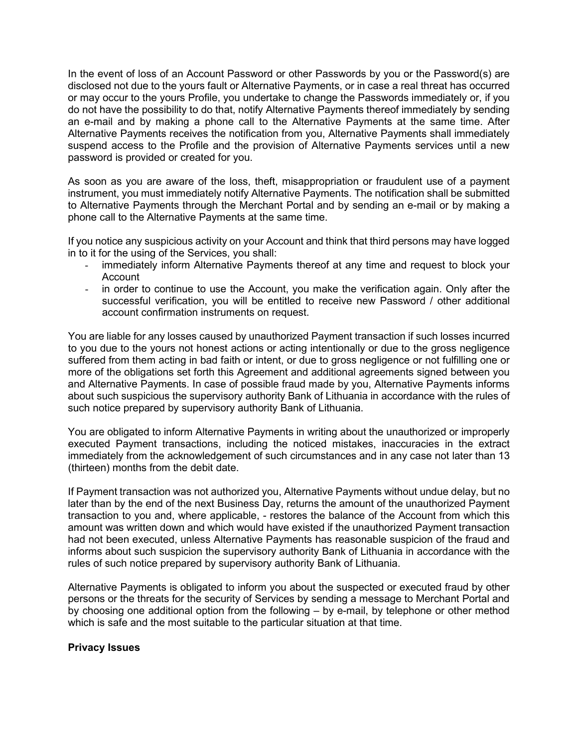In the event of loss of an Account Password or other Passwords by you or the Password(s) are disclosed not due to the yours fault or Alternative Payments, or in case a real threat has occurred or may occur to the yours Profile, you undertake to change the Passwords immediately or, if you do not have the possibility to do that, notify Alternative Payments thereof immediately by sending an e-mail and by making a phone call to the Alternative Payments at the same time. After Alternative Payments receives the notification from you, Alternative Payments shall immediately suspend access to the Profile and the provision of Alternative Payments services until a new password is provided or created for you.

As soon as you are aware of the loss, theft, misappropriation or fraudulent use of a payment instrument, you must immediately notify Alternative Payments. The notification shall be submitted to Alternative Payments through the Merchant Portal and by sending an e-mail or by making a phone call to the Alternative Payments at the same time.

If you notice any suspicious activity on your Account and think that third persons may have logged in to it for the using of the Services, you shall:

- immediately inform Alternative Payments thereof at any time and request to block your Account
- in order to continue to use the Account, you make the verification again. Only after the successful verification, you will be entitled to receive new Password / other additional account confirmation instruments on request.

You are liable for any losses caused by unauthorized Payment transaction if such losses incurred to you due to the yours not honest actions or acting intentionally or due to the gross negligence suffered from them acting in bad faith or intent, or due to gross negligence or not fulfilling one or more of the obligations set forth this Agreement and additional agreements signed between you and Alternative Payments. In case of possible fraud made by you, Alternative Payments informs about such suspicious the supervisory authority Bank of Lithuania in accordance with the rules of such notice prepared by supervisory authority Bank of Lithuania.

You are obligated to inform Alternative Payments in writing about the unauthorized or improperly executed Payment transactions, including the noticed mistakes, inaccuracies in the extract immediately from the acknowledgement of such circumstances and in any case not later than 13 (thirteen) months from the debit date.

If Payment transaction was not authorized you, Alternative Payments without undue delay, but no later than by the end of the next Business Day, returns the amount of the unauthorized Payment transaction to you and, where applicable, - restores the balance of the Account from which this amount was written down and which would have existed if the unauthorized Payment transaction had not been executed, unless Alternative Payments has reasonable suspicion of the fraud and informs about such suspicion the supervisory authority Bank of Lithuania in accordance with the rules of such notice prepared by supervisory authority Bank of Lithuania.

Alternative Payments is obligated to inform you about the suspected or executed fraud by other persons or the threats for the security of Services by sending a message to Merchant Portal and by choosing one additional option from the following – by e-mail, by telephone or other method which is safe and the most suitable to the particular situation at that time.

# **Privacy Issues**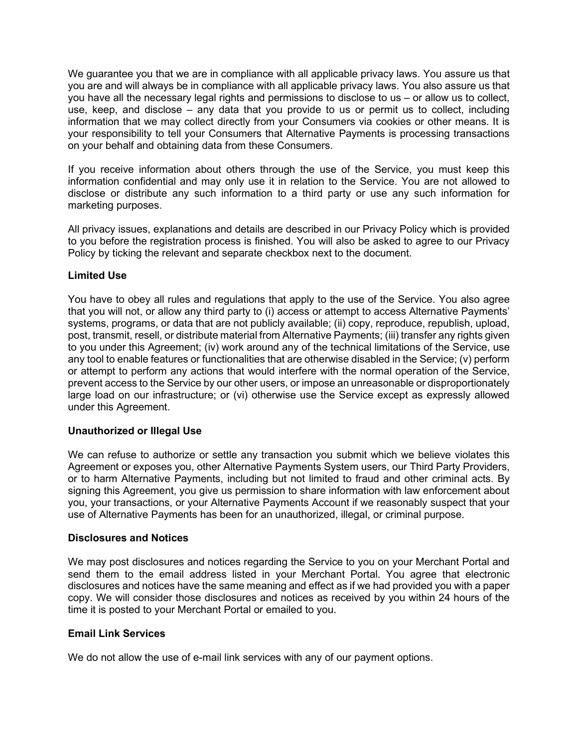We guarantee you that we are in compliance with all applicable privacy laws. You assure us that you are and will always be in compliance with all applicable privacy laws. You also assure us that you have all the necessary legal rights and permissions to disclose to us – or allow us to collect, use, keep, and disclose – any data that you provide to us or permit us to collect, including information that we may collect directly from your Consumers via cookies or other means. It is your responsibility to tell your Consumers that Alternative Payments is processing transactions on your behalf and obtaining data from these Consumers.

If you receive information about others through the use of the Service, you must keep this information confidential and may only use it in relation to the Service. You are not allowed to disclose or distribute any such information to a third party or use any such information for marketing purposes.

All privacy issues, explanations and details are described in our Privacy Policy which is provided to you before the registration process is finished. You will also be asked to agree to our Privacy Policy by ticking the relevant and separate checkbox next to the document.

# **Limited Use**

You have to obey all rules and regulations that apply to the use of the Service. You also agree that you will not, or allow any third party to (i) access or attempt to access Alternative Payments' systems, programs, or data that are not publicly available; (ii) copy, reproduce, republish, upload, post, transmit, resell, or distribute material from Alternative Payments; (iii) transfer any rights given to you under this Agreement; (iv) work around any of the technical limitations of the Service, use any tool to enable features or functionalities that are otherwise disabled in the Service; (v) perform or attempt to perform any actions that would interfere with the normal operation of the Service, prevent access to the Service by our other users, or impose an unreasonable or disproportionately large load on our infrastructure; or (vi) otherwise use the Service except as expressly allowed under this Agreement.

# **Unauthorized or Illegal Use**

We can refuse to authorize or settle any transaction you submit which we believe violates this Agreement or exposes you, other Alternative Payments System users, our Third Party Providers, or to harm Alternative Payments, including but not limited to fraud and other criminal acts. By signing this Agreement, you give us permission to share information with law enforcement about you, your transactions, or your Alternative Payments Account if we reasonably suspect that your use of Alternative Payments has been for an unauthorized, illegal, or criminal purpose.

# **Disclosures and Notices**

We may post disclosures and notices regarding the Service to you on your Merchant Portal and send them to the email address listed in your Merchant Portal. You agree that electronic disclosures and notices have the same meaning and effect as if we had provided you with a paper copy. We will consider those disclosures and notices as received by you within 24 hours of the time it is posted to your Merchant Portal or emailed to you.

# **Email Link Services**

We do not allow the use of e-mail link services with any of our payment options.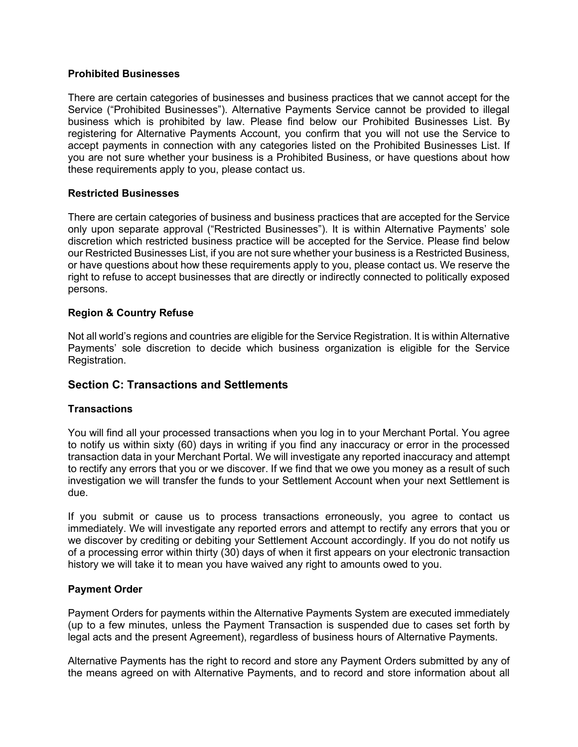### **Prohibited Businesses**

There are certain categories of businesses and business practices that we cannot accept for the Service ("Prohibited [Businesses"](https://www.alternativepayments.com/prohibitedbusinesses.html)). Alternative Payments Service cannot be provided to illegal business which is prohibited by law. Please find below our Prohibited Businesses List. By registering for Alternative Payments Account, you confirm that you will not use the Service to accept payments in connection with any categories listed on the Prohibited Businesses List. If you are not sure whether your business is a Prohibited Business, or have questions about how these requirements apply to you, please [contact](https://alternativepayments.com/contact.html) us.

### **Restricted Businesses**

There are certain categories of business and business practices that are accepted for the Service only upon separate approval ("Restricted [Businesses"](https://www.alternativepayments.com/prohibitedbusinesses.html)). It is within Alternative Payments' sole discretion which restricted business practice will be accepted for the Service. Please find below our Restricted Businesses List, if you are not sure whether your business is a Restricted Business, or have questions about how these requirements apply to you, please [contact](https://alternativepayments.com/contact.html) us. We reserve the right to refuse to accept businesses that are directly or indirectly connected to politically exposed persons.

### **Region & Country Refuse**

Not all world's regions and countries are eligible for the Service Registration. It is within Alternative Payments' sole discretion to decide which business organization is eligible for the Service Registration.

# **Section C: Transactions and Settlements**

#### **Transactions**

You will find all your processed transactions when you log in to your Merchant Portal. You agree to notify us within sixty (60) days in writing if you find any inaccuracy or error in the processed transaction data in your Merchant Portal. We will investigate any reported inaccuracy and attempt to rectify any errors that you or we discover. If we find that we owe you money as a result of such investigation we will transfer the funds to your Settlement Account when your next Settlement is due.

If you submit or cause us to process transactions erroneously, you agree to contact us immediately. We will investigate any reported errors and attempt to rectify any errors that you or we discover by crediting or debiting your Settlement Account accordingly. If you do not notify us of a processing error within thirty (30) days of when it first appears on your electronic transaction history we will take it to mean you have waived any right to amounts owed to you.

# **Payment Order**

Payment Orders for payments within the Alternative Payments System are executed immediately (up to a few minutes, unless the Payment Transaction is suspended due to cases set forth by legal acts and the present Agreement), regardless of business hours of Alternative Payments.

Alternative Payments has the right to record and store any Payment Orders submitted by any of the means agreed on with Alternative Payments, and to record and store information about all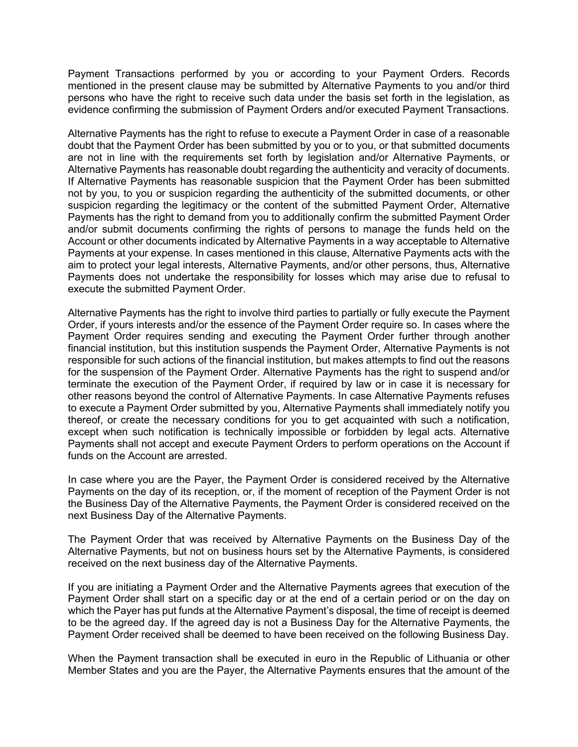Payment Transactions performed by you or according to your Payment Orders. Records mentioned in the present clause may be submitted by Alternative Payments to you and/or third persons who have the right to receive such data under the basis set forth in the legislation, as evidence confirming the submission of Payment Orders and/or executed Payment Transactions.

Alternative Payments has the right to refuse to execute a Payment Order in case of a reasonable doubt that the Payment Order has been submitted by you or to you, or that submitted documents are not in line with the requirements set forth by legislation and/or Alternative Payments, or Alternative Payments has reasonable doubt regarding the authenticity and veracity of documents. If Alternative Payments has reasonable suspicion that the Payment Order has been submitted not by you, to you or suspicion regarding the authenticity of the submitted documents, or other suspicion regarding the legitimacy or the content of the submitted Payment Order, Alternative Payments has the right to demand from you to additionally confirm the submitted Payment Order and/or submit documents confirming the rights of persons to manage the funds held on the Account or other documents indicated by Alternative Payments in a way acceptable to Alternative Payments at your expense. In cases mentioned in this clause, Alternative Payments acts with the aim to protect your legal interests, Alternative Payments, and/or other persons, thus, Alternative Payments does not undertake the responsibility for losses which may arise due to refusal to execute the submitted Payment Order.

Alternative Payments has the right to involve third parties to partially or fully execute the Payment Order, if yours interests and/or the essence of the Payment Order require so. In cases where the Payment Order requires sending and executing the Payment Order further through another financial institution, but this institution suspends the Payment Order, Alternative Payments is not responsible for such actions of the financial institution, but makes attempts to find out the reasons for the suspension of the Payment Order. Alternative Payments has the right to suspend and/or terminate the execution of the Payment Order, if required by law or in case it is necessary for other reasons beyond the control of Alternative Payments. In case Alternative Payments refuses to execute a Payment Order submitted by you, Alternative Payments shall immediately notify you thereof, or create the necessary conditions for you to get acquainted with such a notification, except when such notification is technically impossible or forbidden by legal acts. Alternative Payments shall not accept and execute Payment Orders to perform operations on the Account if funds on the Account are arrested.

In case where you are the Payer, the Payment Order is considered received by the Alternative Payments on the day of its reception, or, if the moment of reception of the Payment Order is not the Business Day of the Alternative Payments, the Payment Order is considered received on the next Business Day of the Alternative Payments.

The Payment Order that was received by Alternative Payments on the Business Day of the Alternative Payments, but not on business hours set by the Alternative Payments, is considered received on the next business day of the Alternative Payments.

If you are initiating a Payment Order and the Alternative Payments agrees that execution of the Payment Order shall start on a specific day or at the end of a certain period or on the day on which the Payer has put funds at the Alternative Payment's disposal, the time of receipt is deemed to be the agreed day. If the agreed day is not a Business Day for the Alternative Payments, the Payment Order received shall be deemed to have been received on the following Business Day.

When the Payment transaction shall be executed in euro in the Republic of Lithuania or other Member States and you are the Payer, the Alternative Payments ensures that the amount of the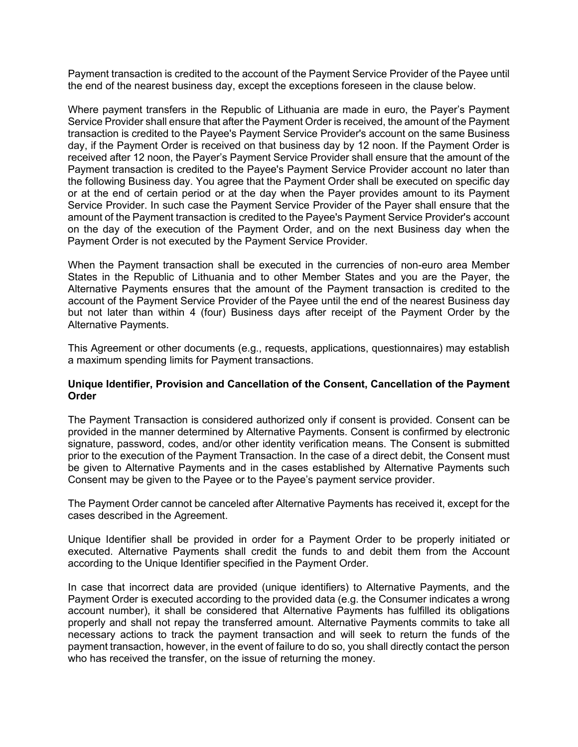Payment transaction is credited to the account of the Payment Service Provider of the Payee until the end of the nearest business day, except the exceptions foreseen in the clause below.

Where payment transfers in the Republic of Lithuania are made in euro, the Payer's Payment Service Provider shall ensure that after the Payment Order is received, the amount of the Payment transaction is credited to the Payee's Payment Service Provider's account on the same Business day, if the Payment Order is received on that business day by 12 noon. If the Payment Order is received after 12 noon, the Payer's Payment Service Provider shall ensure that the amount of the Payment transaction is credited to the Payee's Payment Service Provider account no later than the following Business day. You agree that the Payment Order shall be executed on specific day or at the end of certain period or at the day when the Payer provides amount to its Payment Service Provider. In such case the Payment Service Provider of the Payer shall ensure that the amount of the Payment transaction is credited to the Payee's Payment Service Provider's account on the day of the execution of the Payment Order, and on the next Business day when the Payment Order is not executed by the Payment Service Provider.

When the Payment transaction shall be executed in the currencies of non-euro area Member States in the Republic of Lithuania and to other Member States and you are the Payer, the Alternative Payments ensures that the amount of the Payment transaction is credited to the account of the Payment Service Provider of the Payee until the end of the nearest Business day but not later than within 4 (four) Business days after receipt of the Payment Order by the Alternative Payments.

This Agreement or other documents (e.g., requests, applications, questionnaires) may establish a maximum spending limits for Payment transactions.

### **Unique Identifier, Provision and Cancellation of the Consent, Cancellation of the Payment Order**

The Payment Transaction is considered authorized only if consent is provided. Consent can be provided in the manner determined by Alternative Payments. Consent is confirmed by electronic signature, password, codes, and/or other identity verification means. The Consent is submitted prior to the execution of the Payment Transaction. In the case of a direct debit, the Consent must be given to Alternative Payments and in the cases established by Alternative Payments such Consent may be given to the Payee or to the Payee's payment service provider.

The Payment Order cannot be canceled after Alternative Payments has received it, except for the cases described in the Agreement.

Unique Identifier shall be provided in order for a Payment Order to be properly initiated or executed. Alternative Payments shall credit the funds to and debit them from the Account according to the Unique Identifier specified in the Payment Order.

In case that incorrect data are provided (unique identifiers) to Alternative Payments, and the Payment Order is executed according to the provided data (e.g. the Consumer indicates a wrong account number), it shall be considered that Alternative Payments has fulfilled its obligations properly and shall not repay the transferred amount. Alternative Payments commits to take all necessary actions to track the payment transaction and will seek to return the funds of the payment transaction, however, in the event of failure to do so, you shall directly contact the person who has received the transfer, on the issue of returning the money.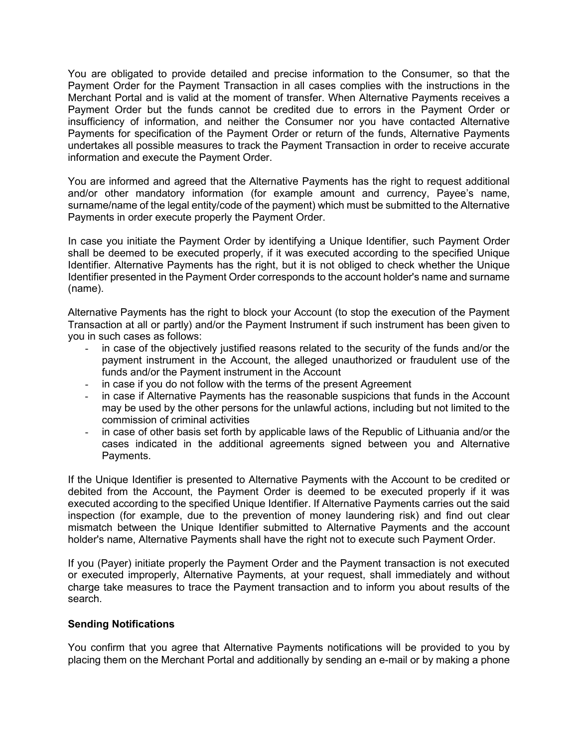You are obligated to provide detailed and precise information to the Consumer, so that the Payment Order for the Payment Transaction in all cases complies with the instructions in the Merchant Portal and is valid at the moment of transfer. When Alternative Payments receives a Payment Order but the funds cannot be credited due to errors in the Payment Order or insufficiency of information, and neither the Consumer nor you have contacted Alternative Payments for specification of the Payment Order or return of the funds, Alternative Payments undertakes all possible measures to track the Payment Transaction in order to receive accurate information and execute the Payment Order.

You are informed and agreed that the Alternative Payments has the right to request additional and/or other mandatory information (for example amount and currency, Payee's name, surname/name of the legal entity/code of the payment) which must be submitted to the Alternative Payments in order execute properly the Payment Order.

In case you initiate the Payment Order by identifying a Unique Identifier, such Payment Order shall be deemed to be executed properly, if it was executed according to the specified Unique Identifier. Alternative Payments has the right, but it is not obliged to check whether the Unique Identifier presented in the Payment Order corresponds to the account holder's name and surname (name).

Alternative Payments has the right to block your Account (to stop the execution of the Payment Transaction at all or partly) and/or the Payment Instrument if such instrument has been given to you in such cases as follows:

- in case of the objectively justified reasons related to the security of the funds and/or the payment instrument in the Account, the alleged unauthorized or fraudulent use of the funds and/or the Payment instrument in the Account
- in case if you do not follow with the terms of the present Agreement
- in case if Alternative Payments has the reasonable suspicions that funds in the Account may be used by the other persons for the unlawful actions, including but not limited to the commission of criminal activities
- in case of other basis set forth by applicable laws of the Republic of Lithuania and/or the cases indicated in the additional agreements signed between you and Alternative Payments.

If the Unique Identifier is presented to Alternative Payments with the Account to be credited or debited from the Account, the Payment Order is deemed to be executed properly if it was executed according to the specified Unique Identifier. If Alternative Payments carries out the said inspection (for example, due to the prevention of money laundering risk) and find out clear mismatch between the Unique Identifier submitted to Alternative Payments and the account holder's name, Alternative Payments shall have the right not to execute such Payment Order.

If you (Payer) initiate properly the Payment Order and the Payment transaction is not executed or executed improperly, Alternative Payments, at your request, shall immediately and without charge take measures to trace the Payment transaction and to inform you about results of the search.

# **Sending Notifications**

You confirm that you agree that Alternative Payments notifications will be provided to you by placing them on the Merchant Portal and additionally by sending an e-mail or by making a phone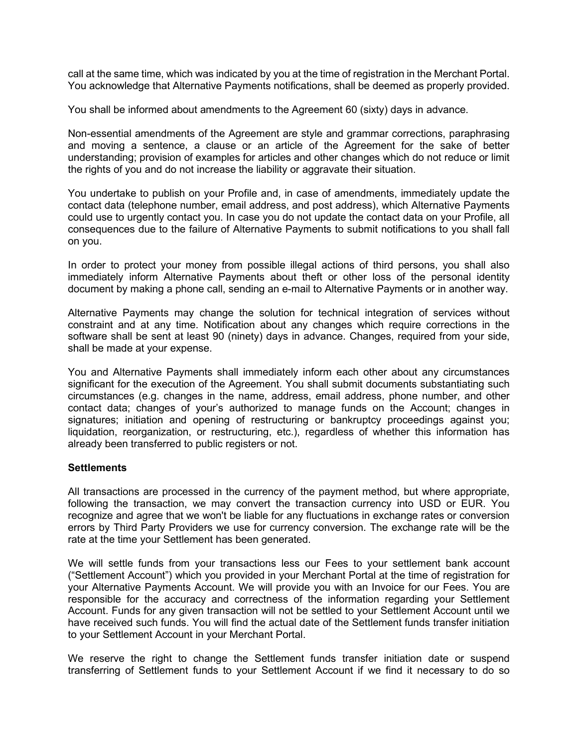call at the same time, which was indicated by you at the time of registration in the Merchant Portal. You acknowledge that Alternative Payments notifications, shall be deemed as properly provided.

You shall be informed about amendments to the Agreement 60 (sixty) days in advance.

Non-essential amendments of the Agreement are style and grammar corrections, paraphrasing and moving a sentence, a clause or an article of the Agreement for the sake of better understanding; provision of examples for articles and other changes which do not reduce or limit the rights of you and do not increase the liability or aggravate their situation.

You undertake to publish on your Profile and, in case of amendments, immediately update the contact data (telephone number, email address, and post address), which Alternative Payments could use to urgently contact you. In case you do not update the contact data on your Profile, all consequences due to the failure of Alternative Payments to submit notifications to you shall fall on you.

In order to protect your money from possible illegal actions of third persons, you shall also immediately inform Alternative Payments about theft or other loss of the personal identity document by making a phone call, sending an e-mail to Alternative Payments or in another way.

Alternative Payments may change the solution for technical integration of services without constraint and at any time. Notification about any changes which require corrections in the software shall be sent at least 90 (ninety) days in advance. Changes, required from your side, shall be made at your expense.

You and Alternative Payments shall immediately inform each other about any circumstances significant for the execution of the Agreement. You shall submit documents substantiating such circumstances (e.g. changes in the name, address, email address, phone number, and other contact data; changes of your's authorized to manage funds on the Account; changes in signatures; initiation and opening of restructuring or bankruptcy proceedings against you; liquidation, reorganization, or restructuring, etc.), regardless of whether this information has already been transferred to public registers or not.

#### **Settlements**

All transactions are processed in the currency of the payment method, but where appropriate, following the transaction, we may convert the transaction currency into USD or EUR. You recognize and agree that we won't be liable for any fluctuations in exchange rates or conversion errors by Third Party Providers we use for currency conversion. The exchange rate will be the rate at the time your Settlement has been generated.

We will settle funds from your transactions less our Fees to your settlement bank account ("Settlement Account") which you provided in your Merchant Portal at the time of registration for your Alternative Payments Account. We will provide you with an Invoice for our Fees. You are responsible for the accuracy and correctness of the information regarding your Settlement Account. Funds for any given transaction will not be settled to your Settlement Account until we have received such funds. You will find the actual date of the Settlement funds transfer initiation to your Settlement Account in your Merchant Portal.

We reserve the right to change the Settlement funds transfer initiation date or suspend transferring of Settlement funds to your Settlement Account if we find it necessary to do so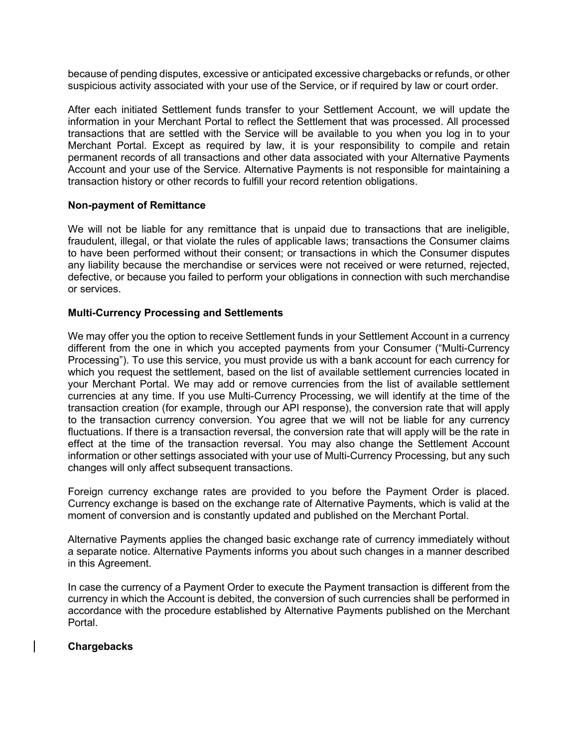because of pending disputes, excessive or anticipated excessive chargebacks or refunds, or other suspicious activity associated with your use of the Service, or if required by law or court order.

After each initiated Settlement funds transfer to your Settlement Account, we will update the information in your Merchant Portal to reflect the Settlement that was processed. All processed transactions that are settled with the Service will be available to you when you log in to your Merchant Portal. Except as required by law, it is your responsibility to compile and retain permanent records of all transactions and other data associated with your Alternative Payments Account and your use of the Service. Alternative Payments is not responsible for maintaining a transaction history or other records to fulfill your record retention obligations.

### **Non-payment of Remittance**

We will not be liable for any remittance that is unpaid due to transactions that are ineligible, fraudulent, illegal, or that violate the rules of applicable laws; transactions the Consumer claims to have been performed without their consent; or transactions in which the Consumer disputes any liability because the merchandise or services were not received or were returned, rejected, defective, or because you failed to perform your obligations in connection with such merchandise or services.

### **Multi-Currency Processing and Settlements**

We may offer you the option to receive Settlement funds in your Settlement Account in a currency different from the one in which you accepted payments from your Consumer ("Multi-Currency Processing"). To use this service, you must provide us with a bank account for each currency for which you request the settlement, based on the list of available settlement currencies located in your Merchant Portal. We may add or remove currencies from the list of available settlement currencies at any time. If you use Multi-Currency Processing, we will identify at the time of the transaction creation (for example, through our API response), the conversion rate that will apply to the transaction currency conversion. You agree that we will not be liable for any currency fluctuations. If there is a transaction reversal, the conversion rate that will apply will be the rate in effect at the time of the transaction reversal. You may also change the Settlement Account information or other settings associated with your use of Multi-Currency Processing, but any such changes will only affect subsequent transactions.

Foreign currency exchange rates are provided to you before the Payment Order is placed. Currency exchange is based on the exchange rate of Alternative Payments, which is valid at the moment of conversion and is constantly updated and published on the Merchant Portal.

Alternative Payments applies the changed basic exchange rate of currency immediately without a separate notice. Alternative Payments informs you about such changes in a manner described in this Agreement.

In case the currency of a Payment Order to execute the Payment transaction is different from the currency in which the Account is debited, the conversion of such currencies shall be performed in accordance with the procedure established by Alternative Payments published on the Merchant Portal.

# **Chargebacks**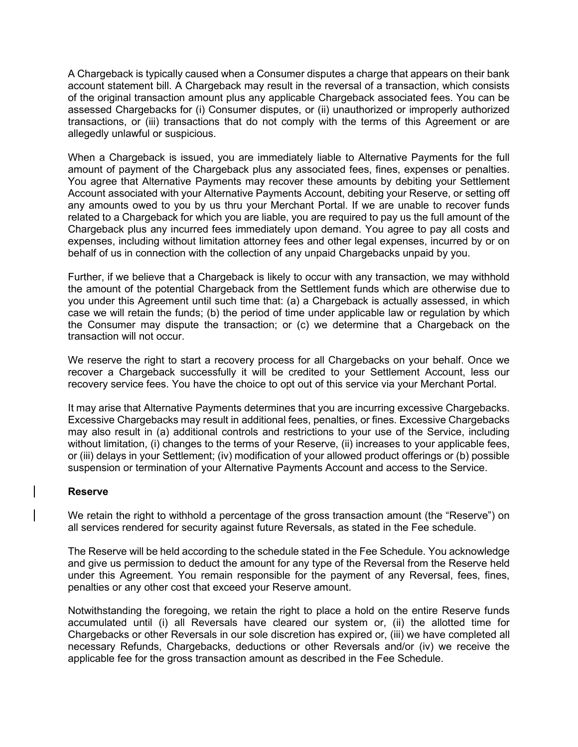A Chargeback is typically caused when a Consumer disputes a charge that appears on their bank account statement bill. A Chargeback may result in the reversal of a transaction, which consists of the original transaction amount plus any applicable Chargeback associated fees. You can be assessed Chargebacks for (i) Consumer disputes, or (ii) unauthorized or improperly authorized transactions, or (iii) transactions that do not comply with the terms of this Agreement or are allegedly unlawful or suspicious.

When a Chargeback is issued, you are immediately liable to Alternative Payments for the full amount of payment of the Chargeback plus any associated fees, fines, expenses or penalties. You agree that Alternative Payments may recover these amounts by debiting your Settlement Account associated with your Alternative Payments Account, debiting your Reserve, or setting off any amounts owed to you by us thru your Merchant Portal. If we are unable to recover funds related to a Chargeback for which you are liable, you are required to pay us the full amount of the Chargeback plus any incurred fees immediately upon demand. You agree to pay all costs and expenses, including without limitation attorney fees and other legal expenses, incurred by or on behalf of us in connection with the collection of any unpaid Chargebacks unpaid by you.

Further, if we believe that a Chargeback is likely to occur with any transaction, we may withhold the amount of the potential Chargeback from the Settlement funds which are otherwise due to you under this Agreement until such time that: (a) a Chargeback is actually assessed, in which case we will retain the funds; (b) the period of time under applicable law or regulation by which the Consumer may dispute the transaction; or (c) we determine that a Chargeback on the transaction will not occur.

We reserve the right to start a recovery process for all Chargebacks on your behalf. Once we recover a Chargeback successfully it will be credited to your Settlement Account, less our recovery service fees. You have the choice to opt out of this service via your Merchant Portal.

It may arise that Alternative Payments determines that you are incurring excessive Chargebacks. Excessive Chargebacks may result in additional fees, penalties, or fines. Excessive Chargebacks may also result in (a) additional controls and restrictions to your use of the Service, including without limitation, (i) changes to the terms of your Reserve, (ii) increases to your applicable fees, or (iii) delays in your Settlement; (iv) modification of your allowed product offerings or (b) possible suspension or termination of your Alternative Payments Account and access to the Service.

#### **Reserve**

We retain the right to withhold a percentage of the gross transaction amount (the "Reserve") on all services rendered for security against future Reversals, as stated in the Fee schedule.

The Reserve will be held according to the schedule stated in the Fee Schedule. You acknowledge and give us permission to deduct the amount for any type of the Reversal from the Reserve held under this Agreement. You remain responsible for the payment of any Reversal, fees, fines, penalties or any other cost that exceed your Reserve amount.

Notwithstanding the foregoing, we retain the right to place a hold on the entire Reserve funds accumulated until (i) all Reversals have cleared our system or, (ii) the allotted time for Chargebacks or other Reversals in our sole discretion has expired or, (iii) we have completed all necessary Refunds, Chargebacks, deductions or other Reversals and/or (iv) we receive the applicable fee for the gross transaction amount as described in the Fee Schedule.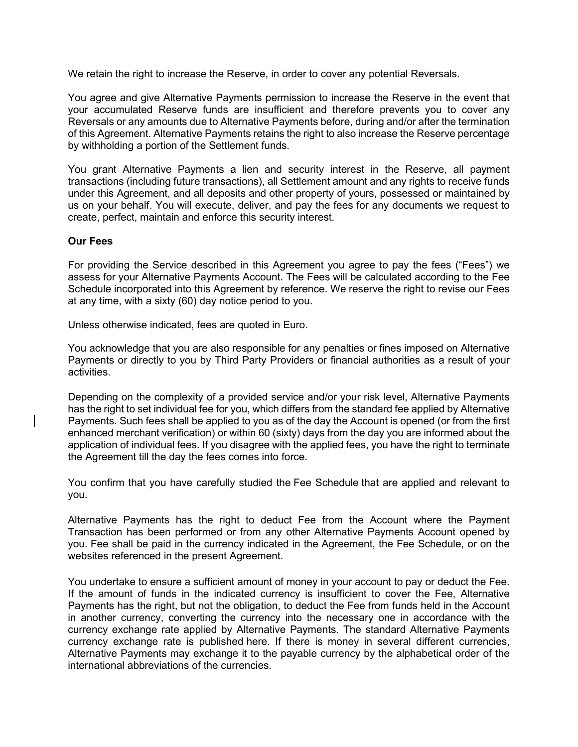We retain the right to increase the Reserve, in order to cover any potential Reversals.

You agree and give Alternative Payments permission to increase the Reserve in the event that your accumulated Reserve funds are insufficient and therefore prevents you to cover any Reversals or any amounts due to Alternative Payments before, during and/or after the termination of this Agreement. Alternative Payments retains the right to also increase the Reserve percentage by withholding a portion of the Settlement funds.

You grant Alternative Payments a lien and security interest in the Reserve, all payment transactions (including future transactions), all Settlement amount and any rights to receive funds under this Agreement, and all deposits and other property of yours, possessed or maintained by us on your behalf. You will execute, deliver, and pay the fees for any documents we request to create, perfect, maintain and enforce this security interest.

#### **Our Fees**

For providing the Service described in this Agreement you agree to pay the fees ("Fees") we assess for your Alternative Payments Account. The Fees will be calculated according to the Fee Schedule incorporated into this Agreement by reference. We reserve the right to revise our Fees at any time, with a sixty (60) day notice period to you.

Unless otherwise indicated, fees are quoted in Euro.

You acknowledge that you are also responsible for any penalties or fines imposed on Alternative Payments or directly to you by Third Party Providers or financial authorities as a result of your activities.

Depending on the complexity of a provided service and/or your risk level, Alternative Payments has the right to set individual fee for you, which differs from the standard fee applied by Alternative Payments. Such fees shall be applied to you as of the day the Account is opened (or from the first enhanced merchant verification) or within 60 (sixty) days from the day you are informed about the application of individual fees. If you disagree with the applied fees, you have the right to terminate the Agreement till the day the fees comes into force.

You confirm that you have carefully studied the Fee Schedule that are applied and relevant to you.

Alternative Payments has the right to deduct Fee from the Account where the Payment Transaction has been performed or from any other Alternative Payments Account opened by you. Fee shall be paid in the currency indicated in the Agreement, the Fee Schedule, or on the websites referenced in the present Agreement.

You undertake to ensure a sufficient amount of money in your account to pay or deduct the Fee. If the amount of funds in the indicated currency is insufficient to cover the Fee, Alternative Payments has the right, but not the obligation, to deduct the Fee from funds held in the Account in another currency, converting the currency into the necessary one in accordance with the currency exchange rate applied by Alternative Payments. The standard Alternative Payments currency exchange rate is published [here.](https://www.paysera.com/v2/en/fees/currency-conversion-calculator) If there is money in several different currencies, Alternative Payments may exchange it to the payable currency by the alphabetical order of the international abbreviations of the currencies.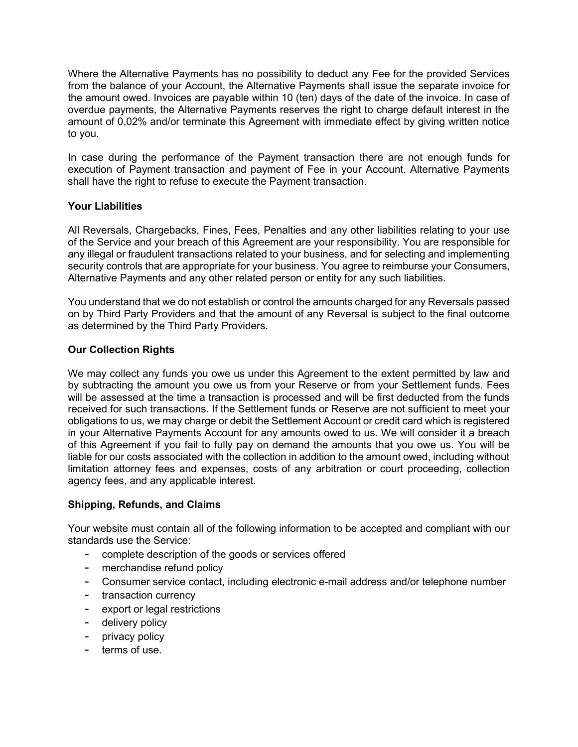Where the Alternative Payments has no possibility to deduct any Fee for the provided Services from the balance of your Account, the Alternative Payments shall issue the separate invoice for the amount owed. Invoices are payable within 10 (ten) days of the date of the invoice. In case of overdue payments, the Alternative Payments reserves the right to charge default interest in the amount of 0,02% and/or terminate this Agreement with immediate effect by giving written notice to you.

In case during the performance of the Payment transaction there are not enough funds for execution of Payment transaction and payment of Fee in your Account, Alternative Payments shall have the right to refuse to execute the Payment transaction.

# **Your Liabilities**

All Reversals, Chargebacks, Fines, Fees, Penalties and any other liabilities relating to your use of the Service and your breach of this Agreement are your responsibility. You are responsible for any illegal or fraudulent transactions related to your business, and for selecting and implementing security controls that are appropriate for your business. You agree to reimburse your Consumers, Alternative Payments and any other related person or entity for any such liabilities.

You understand that we do not establish or control the amounts charged for any Reversals passed on by Third Party Providers and that the amount of any Reversal is subject to the final outcome as determined by the Third Party Providers.

# **Our Collection Rights**

We may collect any funds you owe us under this Agreement to the extent permitted by law and by subtracting the amount you owe us from your Reserve or from your Settlement funds. Fees will be assessed at the time a transaction is processed and will be first deducted from the funds received for such transactions. If the Settlement funds or Reserve are not sufficient to meet your obligations to us, we may charge or debit the Settlement Account or credit card which is registered in your Alternative Payments Account for any amounts owed to us. We will consider it a breach of this Agreement if you fail to fully pay on demand the amounts that you owe us. You will be liable for our costs associated with the collection in addition to the amount owed, including without limitation attorney fees and expenses, costs of any arbitration or court proceeding, collection agency fees, and any applicable interest.

# **Shipping, Refunds, and Claims**

Your website must contain all of the following information to be accepted and compliant with our standards use the Service:

- complete description of the goods or services offered
- merchandise refund policy
- Consumer service contact, including electronic e-mail address and/or telephone number
- transaction currency
- export or legal restrictions
- delivery policy
- privacy policy
- terms of use.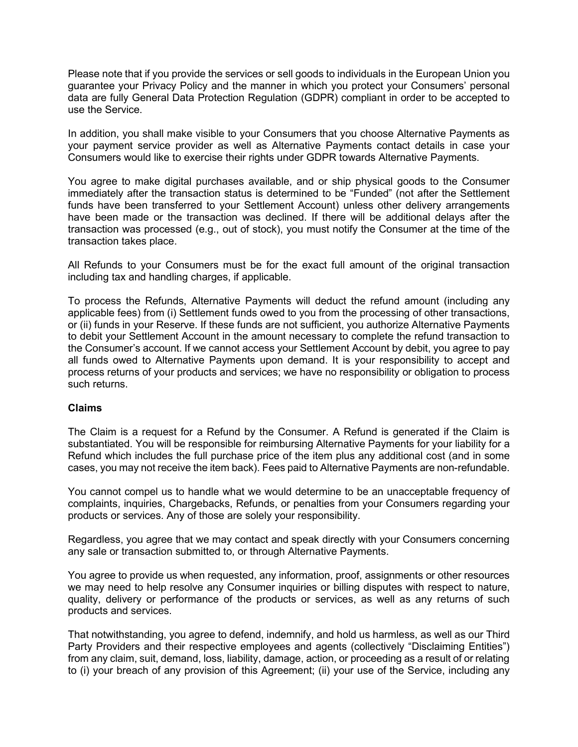Please note that if you provide the services or sell goods to individuals in the European Union you guarantee your Privacy Policy and the manner in which you protect your Consumers' personal data are fully General Data Protection Regulation (GDPR) compliant in order to be accepted to use the Service.

In addition, you shall make visible to your Consumers that you choose Alternative Payments as your payment service provider as well as Alternative Payments contact details in case your Consumers would like to exercise their rights under GDPR towards Alternative Payments.

You agree to make digital purchases available, and or ship physical goods to the Consumer immediately after the transaction status is determined to be "Funded" (not after the Settlement funds have been transferred to your Settlement Account) unless other delivery arrangements have been made or the transaction was declined. If there will be additional delays after the transaction was processed (e.g., out of stock), you must notify the Consumer at the time of the transaction takes place.

All Refunds to your Consumers must be for the exact full amount of the original transaction including tax and handling charges, if applicable.

To process the Refunds, Alternative Payments will deduct the refund amount (including any applicable fees) from (i) Settlement funds owed to you from the processing of other transactions, or (ii) funds in your Reserve. If these funds are not sufficient, you authorize Alternative Payments to debit your Settlement Account in the amount necessary to complete the refund transaction to the Consumer's account. If we cannot access your Settlement Account by debit, you agree to pay all funds owed to Alternative Payments upon demand. It is your responsibility to accept and process returns of your products and services; we have no responsibility or obligation to process such returns.

#### **Claims**

The Claim is a request for a Refund by the Consumer. A Refund is generated if the Claim is substantiated. You will be responsible for reimbursing Alternative Payments for your liability for a Refund which includes the full purchase price of the item plus any additional cost (and in some cases, you may not receive the item back). Fees paid to Alternative Payments are non-refundable.

You cannot compel us to handle what we would determine to be an unacceptable frequency of complaints, inquiries, Chargebacks, Refunds, or penalties from your Consumers regarding your products or services. Any of those are solely your responsibility.

Regardless, you agree that we may contact and speak directly with your Consumers concerning any sale or transaction submitted to, or through Alternative Payments.

You agree to provide us when requested, any information, proof, assignments or other resources we may need to help resolve any Consumer inquiries or billing disputes with respect to nature, quality, delivery or performance of the products or services, as well as any returns of such products and services.

That notwithstanding, you agree to defend, indemnify, and hold us harmless, as well as our Third Party Providers and their respective employees and agents (collectively "Disclaiming Entities") from any claim, suit, demand, loss, liability, damage, action, or proceeding as a result of or relating to (i) your breach of any provision of this Agreement; (ii) your use of the Service, including any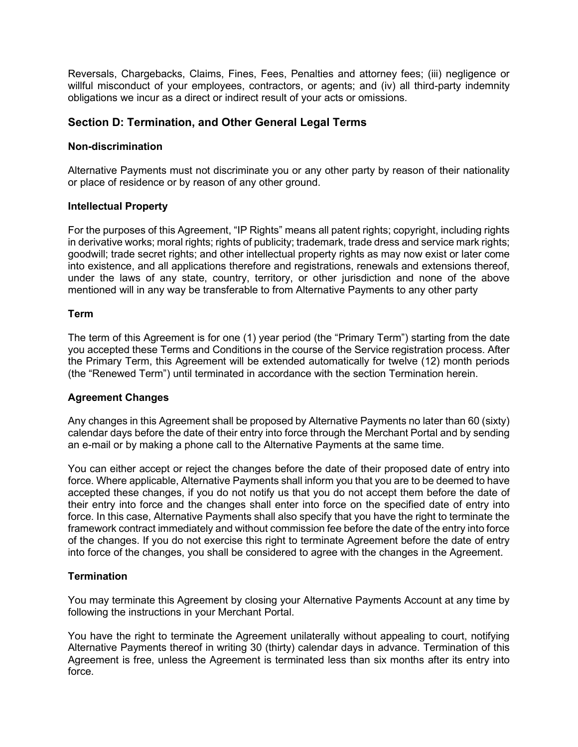Reversals, Chargebacks, Claims, Fines, Fees, Penalties and attorney fees; (iii) negligence or willful misconduct of your employees, contractors, or agents; and (iv) all third-party indemnity obligations we incur as a direct or indirect result of your acts or omissions.

# **Section D: Termination, and Other General Legal Terms**

### **Non-discrimination**

Alternative Payments must not discriminate you or any other party by reason of their nationality or place of residence or by reason of any other ground.

#### **Intellectual Property**

For the purposes of this Agreement, "IP Rights" means all patent rights; copyright, including rights in derivative works; moral rights; rights of publicity; trademark, trade dress and service mark rights; goodwill; trade secret rights; and other intellectual property rights as may now exist or later come into existence, and all applications therefore and registrations, renewals and extensions thereof, under the laws of any state, country, territory, or other jurisdiction and none of the above mentioned will in any way be transferable to from Alternative Payments to any other party

### **Term**

The term of this Agreement is for one (1) year period (the "Primary Term") starting from the date you accepted these Terms and Conditions in the course of the Service registration process. After the Primary Term, this Agreement will be extended automatically for twelve (12) month periods (the "Renewed Term") until terminated in accordance with the section Termination herein.

# **Agreement Changes**

Any changes in this Agreement shall be proposed by Alternative Payments no later than 60 (sixty) calendar days before the date of their entry into force through the Merchant Portal and by sending an e-mail or by making a phone call to the Alternative Payments at the same time.

You can either accept or reject the changes before the date of their proposed date of entry into force. Where applicable, Alternative Payments shall inform you that you are to be deemed to have accepted these changes, if you do not notify us that you do not accept them before the date of their entry into force and the changes shall enter into force on the specified date of entry into force. In this case, Alternative Payments shall also specify that you have the right to terminate the framework contract immediately and without commission fee before the date of the entry into force of the changes. If you do not exercise this right to terminate Agreement before the date of entry into force of the changes, you shall be considered to agree with the changes in the Agreement.

# **Termination**

You may terminate this Agreement by closing your Alternative Payments Account at any time by following the instructions in your Merchant Portal.

You have the right to terminate the Agreement unilaterally without appealing to court, notifying Alternative Payments thereof in writing 30 (thirty) calendar days in advance. Termination of this Agreement is free, unless the Agreement is terminated less than six months after its entry into force.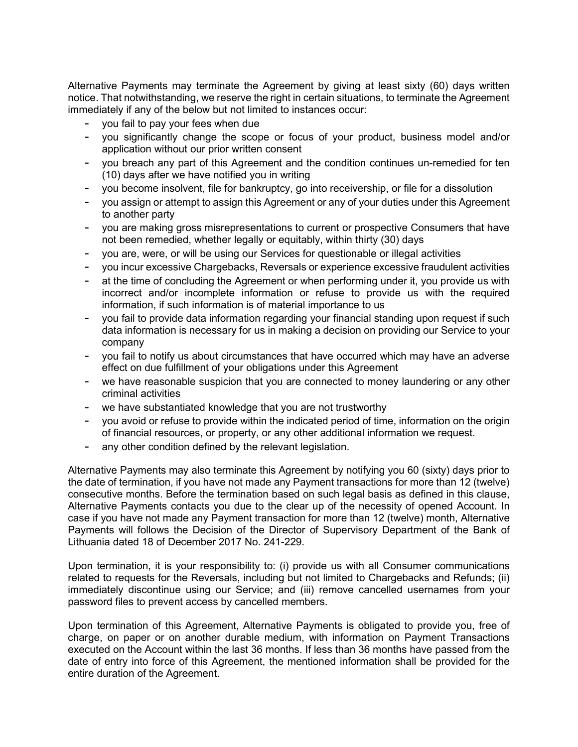Alternative Payments may terminate the Agreement by giving at least sixty (60) days written notice. That notwithstanding, we reserve the right in certain situations, to terminate the Agreement immediately if any of the below but not limited to instances occur:

- you fail to pay your fees when due
- you significantly change the scope or focus of your product, business model and/or application without our prior written consent
- you breach any part of this Agreement and the condition continues un-remedied for ten (10) days after we have notified you in writing
- you become insolvent, file for bankruptcy, go into receivership, or file for a dissolution
- you assign or attempt to assign this Agreement or any of your duties under this Agreement to another party
- you are making gross misrepresentations to current or prospective Consumers that have not been remedied, whether legally or equitably, within thirty (30) days
- you are, were, or will be using our Services for questionable or illegal activities
- you incur excessive Chargebacks, Reversals or experience excessive fraudulent activities
- at the time of concluding the Agreement or when performing under it, you provide us with incorrect and/or incomplete information or refuse to provide us with the required information, if such information is of material importance to us
- you fail to provide data information regarding your financial standing upon request if such data information is necessary for us in making a decision on providing our Service to your company
- you fail to notify us about circumstances that have occurred which may have an adverse effect on due fulfillment of your obligations under this Agreement
- we have reasonable suspicion that you are connected to money laundering or any other criminal activities
- we have substantiated knowledge that you are not trustworthy
- you avoid or refuse to provide within the indicated period of time, information on the origin of financial resources, or property, or any other additional information we request.
- any other condition defined by the relevant legislation.

Alternative Payments may also terminate this Agreement by notifying you 60 (sixty) days prior to the date of termination, if you have not made any Payment transactions for more than 12 (twelve) consecutive months. Before the termination based on such legal basis as defined in this clause, Alternative Payments contacts you due to the clear up of the necessity of opened Account. In case if you have not made any Payment transaction for more than 12 (twelve) month, Alternative Payments will follows the Decision of the Director of Supervisory Department of the Bank of Lithuania dated 18 of December 2017 No. 241-229.

Upon termination, it is your responsibility to: (i) provide us with all Consumer communications related to requests for the Reversals, including but not limited to Chargebacks and Refunds; (ii) immediately discontinue using our Service; and (iii) remove cancelled usernames from your password files to prevent access by cancelled members.

Upon termination of this Agreement, Alternative Payments is obligated to provide you, free of charge, on paper or on another durable medium, with information on Payment Transactions executed on the Account within the last 36 months. If less than 36 months have passed from the date of entry into force of this Agreement, the mentioned information shall be provided for the entire duration of the Agreement.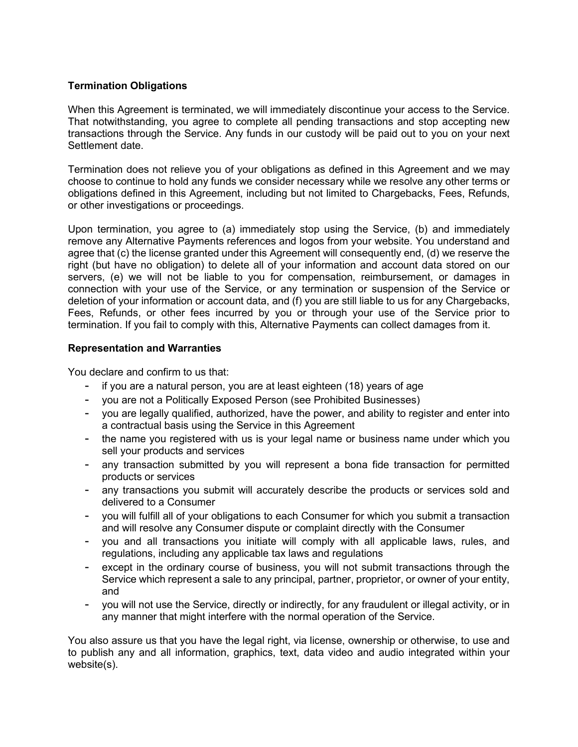# **Termination Obligations**

When this Agreement is terminated, we will immediately discontinue your access to the Service. That notwithstanding, you agree to complete all pending transactions and stop accepting new transactions through the Service. Any funds in our custody will be paid out to you on your next Settlement date.

Termination does not relieve you of your obligations as defined in this Agreement and we may choose to continue to hold any funds we consider necessary while we resolve any other terms or obligations defined in this Agreement, including but not limited to Chargebacks, Fees, Refunds, or other investigations or proceedings.

Upon termination, you agree to (a) immediately stop using the Service, (b) and immediately remove any Alternative Payments references and logos from your website. You understand and agree that (c) the license granted under this Agreement will consequently end, (d) we reserve the right (but have no obligation) to delete all of your information and account data stored on our servers, (e) we will not be liable to you for compensation, reimbursement, or damages in connection with your use of the Service, or any termination or suspension of the Service or deletion of your information or account data, and (f) you are still liable to us for any Chargebacks, Fees, Refunds, or other fees incurred by you or through your use of the Service prior to termination. If you fail to comply with this, Alternative Payments can collect damages from it.

# **Representation and Warranties**

You declare and confirm to us that:

- if you are a natural person, you are at least eighteen (18) years of age
- you are not a Politically Exposed Person (see Prohibited [Businesses\)](https://www.alternativepayments.com/prohibitedbusinesses.html)
- you are legally qualified, authorized, have the power, and ability to register and enter into a contractual basis using the Service in this Agreement
- the name you registered with us is your legal name or business name under which you sell your products and services
- any transaction submitted by you will represent a bona fide transaction for permitted products or services
- any transactions you submit will accurately describe the products or services sold and delivered to a Consumer
- you will fulfill all of your obligations to each Consumer for which you submit a transaction and will resolve any Consumer dispute or complaint directly with the Consumer
- you and all transactions you initiate will comply with all applicable laws, rules, and regulations, including any applicable tax laws and regulations
- except in the ordinary course of business, you will not submit transactions through the Service which represent a sale to any principal, partner, proprietor, or owner of your entity, and
- you will not use the Service, directly or indirectly, for any fraudulent or illegal activity, or in any manner that might interfere with the normal operation of the Service.

You also assure us that you have the legal right, via license, ownership or otherwise, to use and to publish any and all information, graphics, text, data video and audio integrated within your website(s).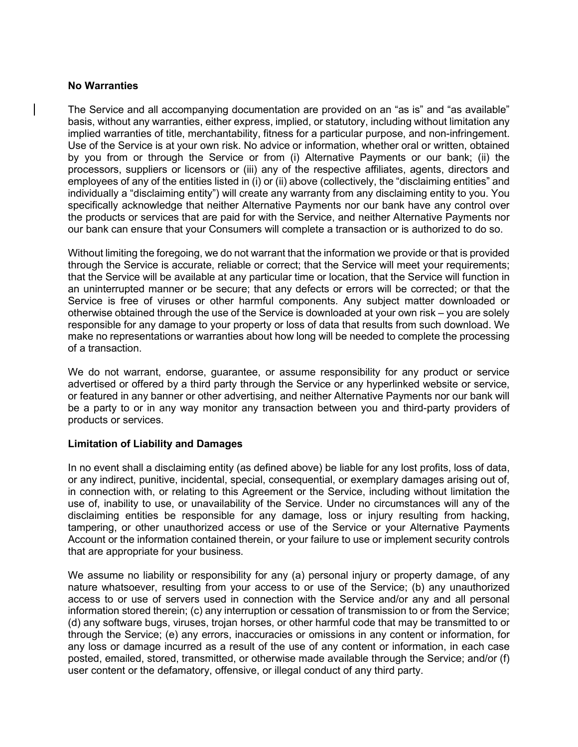#### **No Warranties**

The Service and all accompanying documentation are provided on an "as is" and "as available" basis, without any warranties, either express, implied, or statutory, including without limitation any implied warranties of title, merchantability, fitness for a particular purpose, and non-infringement. Use of the Service is at your own risk. No advice or information, whether oral or written, obtained by you from or through the Service or from (i) Alternative Payments or our bank; (ii) the processors, suppliers or licensors or (iii) any of the respective affiliates, agents, directors and employees of any of the entities listed in (i) or (ii) above (collectively, the "disclaiming entities" and individually a "disclaiming entity") will create any warranty from any disclaiming entity to you. You specifically acknowledge that neither Alternative Payments nor our bank have any control over the products or services that are paid for with the Service, and neither Alternative Payments nor our bank can ensure that your Consumers will complete a transaction or is authorized to do so.

Without limiting the foregoing, we do not warrant that the information we provide or that is provided through the Service is accurate, reliable or correct; that the Service will meet your requirements; that the Service will be available at any particular time or location, that the Service will function in an uninterrupted manner or be secure; that any defects or errors will be corrected; or that the Service is free of viruses or other harmful components. Any subject matter downloaded or otherwise obtained through the use of the Service is downloaded at your own risk – you are solely responsible for any damage to your property or loss of data that results from such download. We make no representations or warranties about how long will be needed to complete the processing of a transaction.

We do not warrant, endorse, guarantee, or assume responsibility for any product or service advertised or offered by a third party through the Service or any hyperlinked website or service, or featured in any banner or other advertising, and neither Alternative Payments nor our bank will be a party to or in any way monitor any transaction between you and third-party providers of products or services.

# **Limitation of Liability and Damages**

In no event shall a disclaiming entity (as defined above) be liable for any lost profits, loss of data, or any indirect, punitive, incidental, special, consequential, or exemplary damages arising out of, in connection with, or relating to this Agreement or the Service, including without limitation the use of, inability to use, or unavailability of the Service. Under no circumstances will any of the disclaiming entities be responsible for any damage, loss or injury resulting from hacking, tampering, or other unauthorized access or use of the Service or your Alternative Payments Account or the information contained therein, or your failure to use or implement security controls that are appropriate for your business.

We assume no liability or responsibility for any (a) personal injury or property damage, of any nature whatsoever, resulting from your access to or use of the Service; (b) any unauthorized access to or use of servers used in connection with the Service and/or any and all personal information stored therein; (c) any interruption or cessation of transmission to or from the Service; (d) any software bugs, viruses, trojan horses, or other harmful code that may be transmitted to or through the Service; (e) any errors, inaccuracies or omissions in any content or information, for any loss or damage incurred as a result of the use of any content or information, in each case posted, emailed, stored, transmitted, or otherwise made available through the Service; and/or (f) user content or the defamatory, offensive, or illegal conduct of any third party.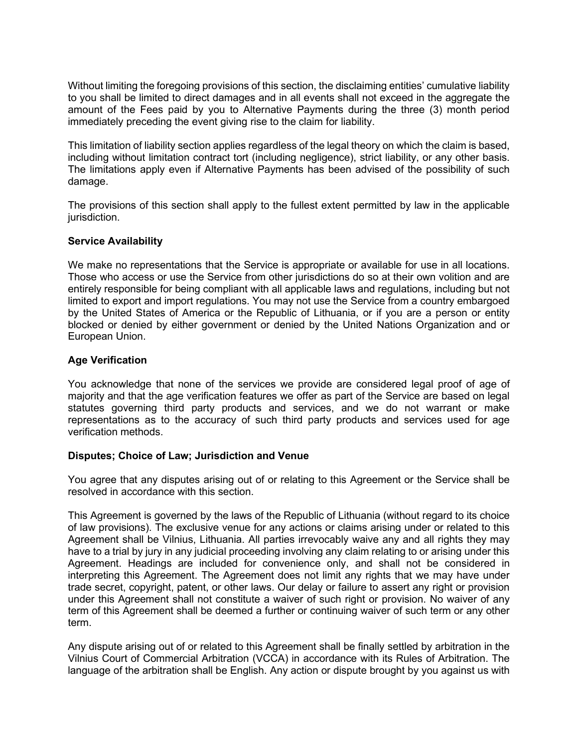Without limiting the foregoing provisions of this section, the disclaiming entities' cumulative liability to you shall be limited to direct damages and in all events shall not exceed in the aggregate the amount of the Fees paid by you to Alternative Payments during the three (3) month period immediately preceding the event giving rise to the claim for liability.

This limitation of liability section applies regardless of the legal theory on which the claim is based, including without limitation contract tort (including negligence), strict liability, or any other basis. The limitations apply even if Alternative Payments has been advised of the possibility of such damage.

The provisions of this section shall apply to the fullest extent permitted by law in the applicable jurisdiction.

### **Service Availability**

We make no representations that the Service is appropriate or available for use in all locations. Those who access or use the Service from other jurisdictions do so at their own volition and are entirely responsible for being compliant with all applicable laws and regulations, including but not limited to export and import regulations. You may not use the Service from a country embargoed by the United States of America or the Republic of Lithuania, or if you are a person or entity blocked or denied by either government or denied by the United Nations Organization and or European Union.

### **Age Verification**

You acknowledge that none of the services we provide are considered legal proof of age of majority and that the age verification features we offer as part of the Service are based on legal statutes governing third party products and services, and we do not warrant or make representations as to the accuracy of such third party products and services used for age verification methods.

#### **Disputes; Choice of Law; Jurisdiction and Venue**

You agree that any disputes arising out of or relating to this Agreement or the Service shall be resolved in accordance with this section.

This Agreement is governed by the laws of the Republic of Lithuania (without regard to its choice of law provisions). The exclusive venue for any actions or claims arising under or related to this Agreement shall be Vilnius, Lithuania. All parties irrevocably waive any and all rights they may have to a trial by jury in any judicial proceeding involving any claim relating to or arising under this Agreement. Headings are included for convenience only, and shall not be considered in interpreting this Agreement. The Agreement does not limit any rights that we may have under trade secret, copyright, patent, or other laws. Our delay or failure to assert any right or provision under this Agreement shall not constitute a waiver of such right or provision. No waiver of any term of this Agreement shall be deemed a further or continuing waiver of such term or any other term.

Any dispute arising out of or related to this Agreement shall be finally settled by arbitration in the Vilnius Court of Commercial Arbitration (VCCA) in accordance with its Rules of Arbitration. The language of the arbitration shall be English. Any action or dispute brought by you against us with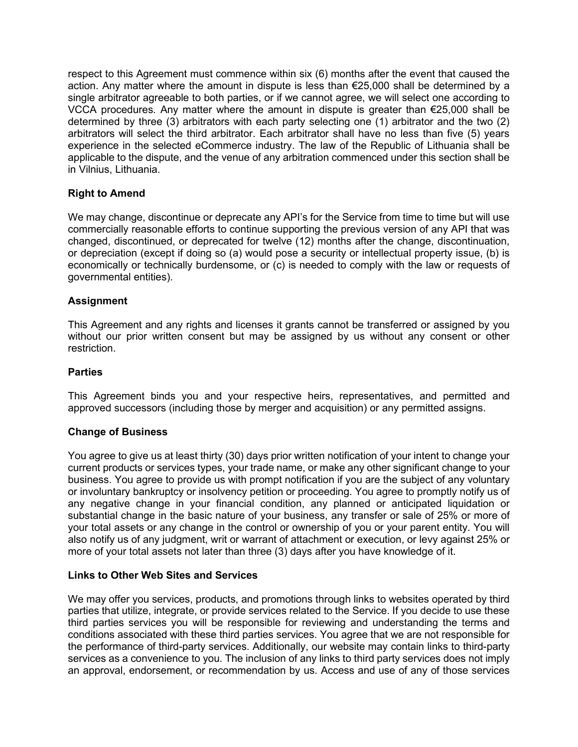respect to this Agreement must commence within six (6) months after the event that caused the action. Any matter where the amount in dispute is less than €25,000 shall be determined by a single arbitrator agreeable to both parties, or if we cannot agree, we will select one according to VCCA procedures. Any matter where the amount in dispute is greater than €25,000 shall be determined by three (3) arbitrators with each party selecting one (1) arbitrator and the two (2) arbitrators will select the third arbitrator. Each arbitrator shall have no less than five (5) years experience in the selected eCommerce industry. The law of the Republic of Lithuania shall be applicable to the dispute, and the venue of any arbitration commenced under this section shall be in Vilnius, Lithuania.

# **Right to Amend**

We may change, discontinue or deprecate any API's for the Service from time to time but will use commercially reasonable efforts to continue supporting the previous version of any API that was changed, discontinued, or deprecated for twelve (12) months after the change, discontinuation, or depreciation (except if doing so (a) would pose a security or intellectual property issue, (b) is economically or technically burdensome, or (c) is needed to comply with the law or requests of governmental entities).

# **Assignment**

This Agreement and any rights and licenses it grants cannot be transferred or assigned by you without our prior written consent but may be assigned by us without any consent or other restriction.

#### **Parties**

This Agreement binds you and your respective heirs, representatives, and permitted and approved successors (including those by merger and acquisition) or any permitted assigns.

#### **Change of Business**

You agree to give us at least thirty (30) days prior written notification of your intent to change your current products or services types, your trade name, or make any other significant change to your business. You agree to provide us with prompt notification if you are the subject of any voluntary or involuntary bankruptcy or insolvency petition or proceeding. You agree to promptly notify us of any negative change in your financial condition, any planned or anticipated liquidation or substantial change in the basic nature of your business, any transfer or sale of 25% or more of your total assets or any change in the control or ownership of you or your parent entity. You will also notify us of any judgment, writ or warrant of attachment or execution, or levy against 25% or more of your total assets not later than three (3) days after you have knowledge of it.

#### **Links to Other Web Sites and Services**

We may offer you services, products, and promotions through links to websites operated by third parties that utilize, integrate, or provide services related to the Service. If you decide to use these third parties services you will be responsible for reviewing and understanding the terms and conditions associated with these third parties services. You agree that we are not responsible for the performance of third-party services. Additionally, our website may contain links to third-party services as a convenience to you. The inclusion of any links to third party services does not imply an approval, endorsement, or recommendation by us. Access and use of any of those services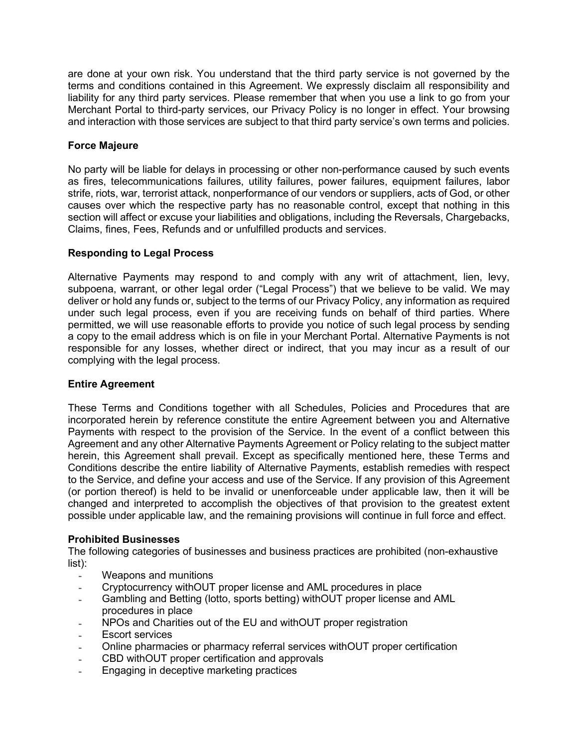are done at your own risk. You understand that the third party service is not governed by the terms and conditions contained in this Agreement. We expressly disclaim all responsibility and liability for any third party services. Please remember that when you use a link to go from your Merchant Portal to third-party services, our Privacy Policy is no longer in effect. Your browsing and interaction with those services are subject to that third party service's own terms and policies.

# **Force Majeure**

No party will be liable for delays in processing or other non-performance caused by such events as fires, telecommunications failures, utility failures, power failures, equipment failures, labor strife, riots, war, terrorist attack, nonperformance of our vendors or suppliers, acts of God, or other causes over which the respective party has no reasonable control, except that nothing in this section will affect or excuse your liabilities and obligations, including the Reversals, Chargebacks, Claims, fines, Fees, Refunds and or unfulfilled products and services.

# **Responding to Legal Process**

Alternative Payments may respond to and comply with any writ of attachment, lien, levy, subpoena, warrant, or other legal order ("Legal Process") that we believe to be valid. We may deliver or hold any funds or, subject to the terms of our Privacy Policy, any information as required under such legal process, even if you are receiving funds on behalf of third parties. Where permitted, we will use reasonable efforts to provide you notice of such legal process by sending a copy to the email address which is on file in your Merchant Portal. Alternative Payments is not responsible for any losses, whether direct or indirect, that you may incur as a result of our complying with the legal process.

# **Entire Agreement**

These Terms and Conditions together with all Schedules, Policies and Procedures that are incorporated herein by reference constitute the entire Agreement between you and Alternative Payments with respect to the provision of the Service. In the event of a conflict between this Agreement and any other Alternative Payments Agreement or Policy relating to the subject matter herein, this Agreement shall prevail. Except as specifically mentioned here, these Terms and Conditions describe the entire liability of Alternative Payments, establish remedies with respect to the Service, and define your access and use of the Service. If any provision of this Agreement (or portion thereof) is held to be invalid or unenforceable under applicable law, then it will be changed and interpreted to accomplish the objectives of that provision to the greatest extent possible under applicable law, and the remaining provisions will continue in full force and effect.

# **Prohibited Businesses**

The following categories of businesses and business practices are prohibited (non-exhaustive list):

- Weapons and munitions
- Cryptocurrency withOUT proper license and AML procedures in place
- Gambling and Betting (lotto, sports betting) withOUT proper license and AML procedures in place
- NPOs and Charities out of the EU and withOUT proper registration
- Escort services
- Online pharmacies or pharmacy referral services withOUT proper certification
- CBD withOUT proper certification and approvals
- Engaging in deceptive marketing practices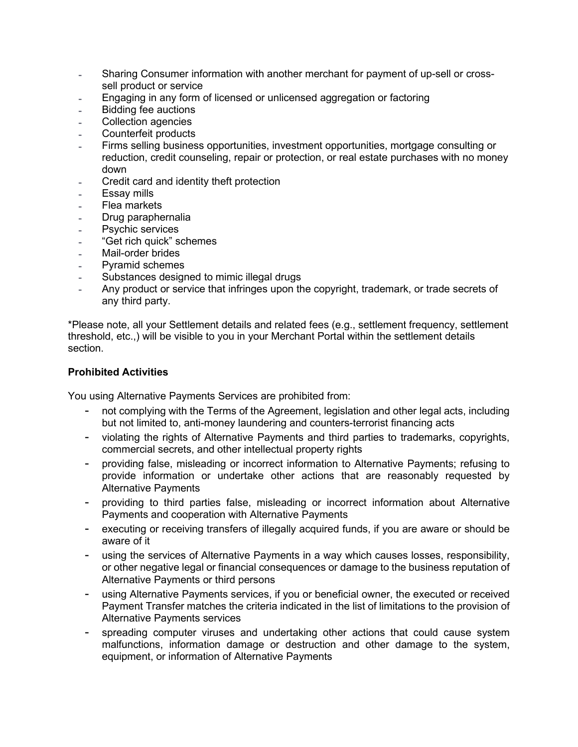- Sharing Consumer information with another merchant for payment of up-sell or crosssell product or service
- Engaging in any form of licensed or unlicensed aggregation or factoring
- Bidding fee auctions
- Collection agencies
- Counterfeit products
- Firms selling business opportunities, investment opportunities, mortgage consulting or reduction, credit counseling, repair or protection, or real estate purchases with no money down
- Credit card and identity theft protection
- Essay mills
- **Flea markets**
- Drug paraphernalia
- Psychic services
- "Get rich quick" schemes
- Mail-order brides
- Pyramid schemes
- Substances designed to mimic illegal drugs
- Any product or service that infringes upon the copyright, trademark, or trade secrets of any third party.

\*Please note, all your Settlement details and related fees (e.g., settlement frequency, settlement threshold, etc.,) will be visible to you in your Merchant Portal within the settlement details section.

#### **Prohibited Activities**

You using Alternative Payments Services are prohibited from:

- not complying with the Terms of the Agreement, legislation and other legal acts, including but not limited to, anti-money laundering and counters-terrorist financing acts
- violating the rights of Alternative Payments and third parties to trademarks, copyrights, commercial secrets, and other intellectual property rights
- providing false, misleading or incorrect information to Alternative Payments; refusing to provide information or undertake other actions that are reasonably requested by Alternative Payments
- providing to third parties false, misleading or incorrect information about Alternative Payments and cooperation with Alternative Payments
- executing or receiving transfers of illegally acquired funds, if you are aware or should be aware of it
- using the services of Alternative Payments in a way which causes losses, responsibility, or other negative legal or financial consequences or damage to the business reputation of Alternative Payments or third persons
- using Alternative Payments services, if you or beneficial owner, the executed or received Payment Transfer matches the criteria indicated in the list of [limitations](https://www.paysera.com/v2/en/legal/redemption-limitations) to the provision of Alternative Payments services
- spreading computer viruses and undertaking other actions that could cause system malfunctions, information damage or destruction and other damage to the system, equipment, or information of Alternative Payments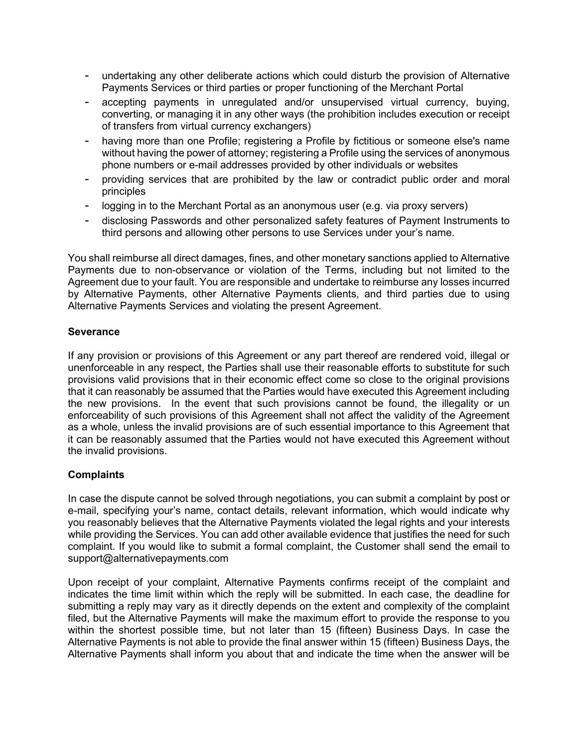- undertaking any other deliberate actions which could disturb the provision of Alternative Payments Services or third parties or proper functioning of the Merchant Portal
- accepting payments in unregulated and/or unsupervised virtual currency, buying, converting, or managing it in any other ways (the prohibition includes execution or receipt of transfers from virtual currency exchangers)
- having more than one Profile; registering a Profile by fictitious or someone else's name without having the power of attorney; registering a Profile using the services of anonymous phone numbers or e-mail addresses provided by other individuals or websites
- providing services that are prohibited by the law or contradict public order and moral principles
- logging in to the Merchant Portal as an anonymous user (e.g. via proxy servers)
- disclosing Passwords and other personalized safety features of Payment Instruments to third persons and allowing other persons to use Services under your's name.

You shall reimburse all direct damages, fines, and other monetary sanctions applied to Alternative Payments due to non-observance or violation of the Terms, including but not limited to the Agreement due to your fault. You are responsible and undertake to reimburse any losses incurred by Alternative Payments, other Alternative Payments clients, and third parties due to using Alternative Payments Services and violating the present Agreement.

### **Severance**

If any provision or provisions of this Agreement or any part thereof are rendered void, illegal or unenforceable in any respect, the Parties shall use their reasonable efforts to substitute for such provisions valid provisions that in their economic effect come so close to the original provisions that it can reasonably be assumed that the Parties would have executed this Agreement including the new provisions. In the event that such provisions cannot be found, the illegality or un enforceability of such provisions of this Agreement shall not affect the validity of the Agreement as a whole, unless the invalid provisions are of such essential importance to this Agreement that it can be reasonably assumed that the Parties would not have executed this Agreement without the invalid provisions.

# **Complaints**

In case the dispute cannot be solved through negotiations, you can submit a complaint by post or e-mail, specifying your's name, contact details, relevant information, which would indicate why you reasonably believes that the Alternative Payments violated the legal rights and your interests while providing the Services. You can add other available evidence that justifies the need for such complaint. If you would like to submit a formal complaint, the Customer shall send the email to support@alternativepayments.com

Upon receipt of your complaint, Alternative Payments confirms receipt of the complaint and indicates the time limit within which the reply will be submitted. In each case, the deadline for submitting a reply may vary as it directly depends on the extent and complexity of the complaint filed, but the Alternative Payments will make the maximum effort to provide the response to you within the shortest possible time, but not later than 15 (fifteen) Business Days. In case the Alternative Payments is not able to provide the final answer within 15 (fifteen) Business Days, the Alternative Payments shall inform you about that and indicate the time when the answer will be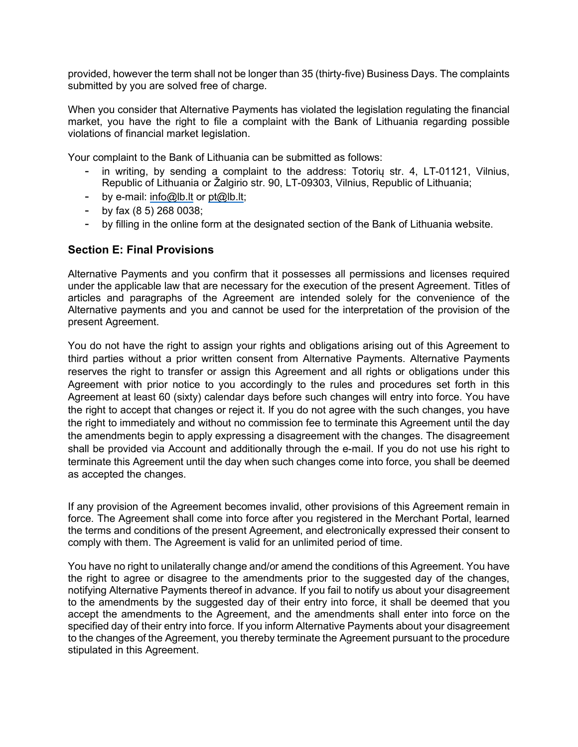provided, however the term shall not be longer than 35 (thirty-five) Business Days. The complaints submitted by you are solved free of charge.

When you consider that Alternative Payments has violated the legislation regulating the financial market, you have the right to file a complaint with the Bank of Lithuania regarding possible violations of financial market legislation.

Your complaint to the Bank of Lithuania can be submitted as follows:

- in writing, by sending a complaint to the address: Totoriu str. 4, LT-01121, Vilnius, Republic of Lithuania or Žalgirio str. 90, LT-09303, Vilnius, Republic of Lithuania;
- by e-mail: [info@lb.lt](mailto:info@lb.lt) or [pt@lb.lt;](mailto:pt@lb.lt)
- by fax (8 5) 268 0038;
- by filling in the online form at the designated section of the Bank of Lithuania website.

# **Section E: Final Provisions**

Alternative Payments and you confirm that it possesses all permissions and licenses required under the applicable law that are necessary for the execution of the present Agreement. Titles of articles and paragraphs of the Agreement are intended solely for the convenience of the Alternative payments and you and cannot be used for the interpretation of the provision of the present Agreement.

You do not have the right to assign your rights and obligations arising out of this Agreement to third parties without a prior written consent from Alternative Payments. Alternative Payments reserves the right to transfer or assign this Agreement and all rights or obligations under this Agreement with prior notice to you accordingly to the rules and procedures set forth in this Agreement at least 60 (sixty) calendar days before such changes will entry into force. You have the right to accept that changes or reject it. If you do not agree with the such changes, you have the right to immediately and without no commission fee to terminate this Agreement until the day the amendments begin to apply expressing a disagreement with the changes. The disagreement shall be provided via Account and additionally through the e-mail. If you do not use his right to terminate this Agreement until the day when such changes come into force, you shall be deemed as accepted the changes.

If any provision of the Agreement becomes invalid, other provisions of this Agreement remain in force. The Agreement shall come into force after you registered in the Merchant Portal, learned the terms and conditions of the present Agreement, and electronically expressed their consent to comply with them. The Agreement is valid for an unlimited period of time.

You have no right to unilaterally change and/or amend the conditions of this Agreement. You have the right to agree or disagree to the amendments prior to the suggested day of the changes, notifying Alternative Payments thereof in advance. If you fail to notify us about your disagreement to the amendments by the suggested day of their entry into force, it shall be deemed that you accept the amendments to the Agreement, and the amendments shall enter into force on the specified day of their entry into force. If you inform Alternative Payments about your disagreement to the changes of the Agreement, you thereby terminate the Agreement pursuant to the procedure stipulated in this Agreement.